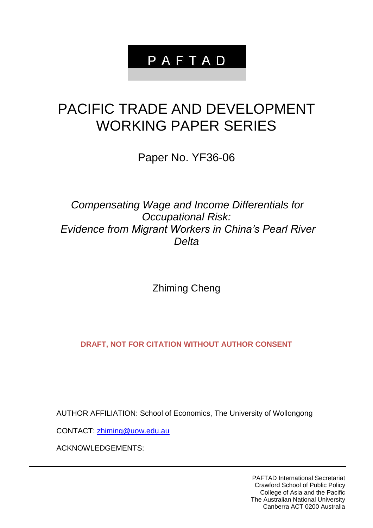## PAFTAD

# PACIFIC TRADE AND DEVELOPMENT WORKING PAPER SERIES

Paper No. YF36-06

## *Compensating Wage and Income Differentials for Occupational Risk: Evidence from Migrant Workers in China's Pearl River Delta*

Zhiming Cheng

**DRAFT, NOT FOR CITATION WITHOUT AUTHOR CONSENT**

AUTHOR AFFILIATION: School of Economics, The University of Wollongong

CONTACT: [zhiming@uow.edu.au](mailto:zhiming@uow.edu.au)

ACKNOWLEDGEMENTS:

PAFTAD International Secretariat Crawford School of Public Policy College of Asia and the Pacific The Australian National University Canberra ACT 0200 Australia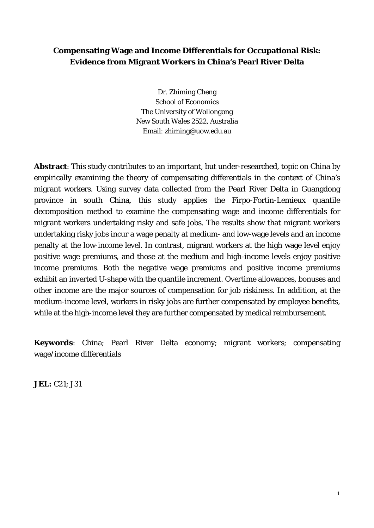## **Compensating Wage and Income Differentials for Occupational Risk: Evidence from Migrant Workers in China's Pearl River Delta**

Dr. Zhiming Cheng School of Economics The University of Wollongong New South Wales 2522, Australia Email: zhiming@uow.edu.au

**Abstract**: This study contributes to an important, but under-researched, topic on China by empirically examining the theory of compensating differentials in the context of China's migrant workers. Using survey data collected from the Pearl River Delta in Guangdong province in south China, this study applies the Firpo-Fortin-Lemieux quantile decomposition method to examine the compensating wage and income differentials for migrant workers undertaking risky and safe jobs. The results show that migrant workers undertaking risky jobs incur a wage penalty at medium- and low-wage levels and an income penalty at the low-income level. In contrast, migrant workers at the high wage level enjoy positive wage premiums, and those at the medium and high-income levels enjoy positive income premiums. Both the negative wage premiums and positive income premiums exhibit an inverted U-shape with the quantile increment. Overtime allowances, bonuses and other income are the major sources of compensation for job riskiness. In addition, at the medium-income level, workers in risky jobs are further compensated by employee benefits, while at the high-income level they are further compensated by medical reimbursement.

**Keywords**: China; Pearl River Delta economy; migrant workers; compensating wage/income differentials

**JEL:** C21; J31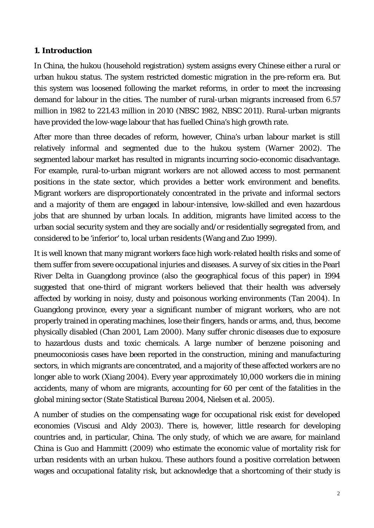### **1. Introduction**

In China, the *hukou* (household registration) system assigns every Chinese either a rural or urban *hukou* status. The system restricted domestic migration in the pre-reform era. But this system was loosened following the market reforms, in order to meet the increasing demand for labour in the cities. The number of rural-urban migrants increased from 6.57 million in 1982 to 221.43 million in 2010 [\(NBSC 1982,](#page-18-0) [NBSC 2011\)](#page-18-1). Rural-urban migrants have provided the low-wage labour that has fuelled China's high growth rate.

After more than three decades of reform, however, China's urban labour market is still relatively informal and segmented due to the *hukou* system [\(Warner 2002\)](#page-19-0). The segmented labour market has resulted in migrants incurring socio-economic disadvantage. For example, rural-to-urban migrant workers are not allowed access to most permanent positions in the state sector, which provides a better work environment and benefits. Migrant workers are disproportionately concentrated in the private and informal sectors and a majority of them are engaged in labour-intensive, low-skilled and even hazardous jobs that are shunned by urban locals. In addition, migrants have limited access to the urban social security system and they are socially and/or residentially segregated from, and considered to be 'inferior' to, local urban residents [\(Wang and Zuo 1999\)](#page-19-1).

It is well known that many migrant workers face high work-related health risks and some of them suffer from severe occupational injuries and diseases. A survey of six cities in the Pearl River Delta in Guangdong province (also the geographical focus of this paper) in 1994 suggested that one-third of migrant workers believed that their health was adversely affected by working in noisy, dusty and poisonous working environments [\(Tan 2004\)](#page-19-2). In Guangdong province, every year a significant number of migrant workers, who are not properly trained in operating machines, lose their fingers, hands or arms, and, thus, become physically disabled [\(Chan 2001,](#page-16-0) [Lam 2000\)](#page-17-0). Many suffer chronic diseases due to exposure to hazardous dusts and toxic chemicals. A large number of benzene poisoning and pneumoconiosis cases have been reported in the construction, mining and manufacturing sectors, in which migrants are concentrated, and a majority of these affected workers are no longer able to work [\(Xiang 2004\)](#page-19-3). Every year approximately 10,000 workers die in mining accidents, many of whom are migrants, accounting for 60 per cent of the fatalities in the global mining sector [\(State Statistical Bureau 2004,](#page-19-4) [Nielsen et al. 2005\)](#page-18-2).

A number of studies on the compensating wage for occupational risk exist for developed economies [\(Viscusi and Aldy 2003\)](#page-19-5). There is, however, little research for developing countries and, in particular, China. The only study, of which we are aware, for mainland China is [Guo and Hammitt \(2009\)](#page-17-1) who estimate the economic value of mortality risk for urban residents with an urban *hukou.* These authors found a positive correlation between wages and occupational fatality risk, but acknowledge that a shortcoming of their study is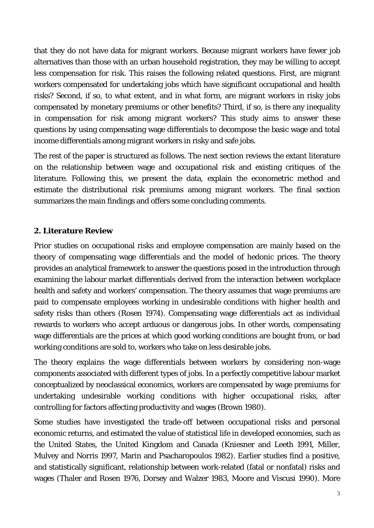that they do not have data for migrant workers. Because migrant workers have fewer job alternatives than those with an urban household registration, they may be willing to accept less compensation for risk. This raises the following related questions. First, are migrant workers compensated for undertaking jobs which have significant occupational and health risks? Second, if so, to what extent, and in what form, are migrant workers in risky jobs compensated by monetary premiums or other benefits? Third, if so, is there any inequality in compensation for risk among migrant workers? This study aims to answer these questions by using compensating wage differentials to decompose the basic wage and total income differentials among migrant workers in risky and safe jobs.

The rest of the paper is structured as follows. The next section reviews the extant literature on the relationship between wage and occupational risk and existing critiques of the literature. Following this, we present the data, explain the econometric method and estimate the distributional risk premiums among migrant workers. The final section summarizes the main findings and offers some concluding comments.

## **2. Literature Review**

Prior studies on occupational risks and employee compensation are mainly based on the theory of compensating wage differentials and the model of hedonic prices. The theory provides an analytical framework to answer the questions posed in the introduction through examining the labour market differentials derived from the interaction between workplace health and safety and workers' compensation. The theory assumes that wage premiums are paid to compensate employees working in undesirable conditions with higher health and safety risks than others [\(Rosen 1974\)](#page-18-3). Compensating wage differentials act as individual rewards to workers who accept arduous or dangerous jobs. In other words, compensating wage differentials are the prices at which good working conditions are bought from, or bad working conditions are sold to, workers who take on less desirable jobs.

The theory explains the wage differentials between workers by considering non-wage components associated with different types of jobs. In a perfectly competitive labour market conceptualized by neoclassical economics, workers are compensated by wage premiums for undertaking undesirable working conditions with higher occupational risks, after controlling for factors affecting productivity and wages [\(Brown 1980\)](#page-16-1).

Some studies have investigated the trade-off between occupational risks and personal economic returns, and estimated the value of statistical life in developed economies, such as the United States, the United Kingdom and Canada [\(Kniesner and Leeth 1991,](#page-17-2) [Miller,](#page-18-4)  [Mulvey and Norris 1997,](#page-18-4) [Marin and Psacharopoulos 1982\)](#page-17-3). Earlier studies find a positive, and statistically significant, relationship between work-related (fatal or nonfatal) risks and wages [\(Thaler and Rosen 1976,](#page-19-6) [Dorsey and Walzer 1983,](#page-16-2) [Moore and Viscusi 1990\)](#page-18-5). More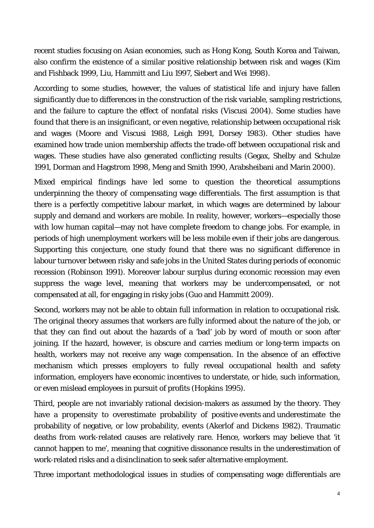recent studies focusing on Asian economies, such as Hong Kong, South Korea and Taiwan, also confirm the existence of a similar positive relationship between risk and wages [\(Kim](#page-17-4)  [and Fishback 1999,](#page-17-4) [Liu, Hammitt and Liu 1997,](#page-17-5) [Siebert and Wei 1998\)](#page-19-7).

According to some studies, however, the values of statistical life and injury have fallen significantly due to differences in the construction of the risk variable, sampling restrictions, and the failure to capture the effect of nonfatal risks [\(Viscusi 2004\)](#page-19-8). Some studies have found that there is an insignificant, or even negative, relationship between occupational risk and wages [\(Moore and Viscusi 1988,](#page-18-6) [Leigh 1991,](#page-17-6) [Dorsey 1983\)](#page-16-3). Other studies have examined how trade union membership affects the trade-off between occupational risk and wages. These studies have also generated conflicting results [\(Gegax, Shelby and Schulze](#page-16-4)  [1991,](#page-16-4) [Dorman and Hagstrom 1998,](#page-16-5) [Meng and Smith 1990,](#page-17-7) [Arabsheibani and Marin 2000\)](#page-16-6).

Mixed empirical findings have led some to question the theoretical assumptions underpinning the theory of compensating wage differentials. The first assumption is that there is a perfectly competitive labour market, in which wages are determined by labour supply and demand and workers are mobile. In reality, however, workers—especially those with low human capital—may not have complete freedom to change jobs. For example, in periods of high unemployment workers will be less mobile even if their jobs are dangerous. Supporting this conjecture, one study found that there was no significant difference in labour turnover between risky and safe jobs in the United States during periods of economic recession [\(Robinson 1991\)](#page-18-7). Moreover labour surplus during economic recession may even suppress the wage level, meaning that workers may be undercompensated, or not compensated at all, for engaging in risky jobs [\(Guo and Hammitt 2009\)](#page-17-1).

Second, workers may not be able to obtain full information in relation to occupational risk. The original theory assumes that workers are fully informed about the nature of the job, or that they can find out about the hazards of a 'bad' job by word of mouth or soon after joining. If the hazard, however, is obscure and carries medium or long-term impacts on health, workers may not receive any wage compensation. In the absence of an effective mechanism which presses employers to fully reveal occupational health and safety information, employers have economic incentives to understate, or hide, such information, or even mislead employees in pursuit of profits [\(Hopkins 1995\)](#page-17-8).

Third, people are not invariably rational decision-makers as assumed by the theory. They have a propensity to overestimate probability of positive events and underestimate the probability of negative, or low probability, events [\(Akerlof and Dickens 1982\)](#page-16-7). Traumatic deaths from work-related causes are relatively rare. Hence, workers may believe that 'it cannot happen to me', meaning that cognitive dissonance results in the underestimation of work-related risks and a disinclination to seek safer alternative employment.

Three important methodological issues in studies of compensating wage differentials are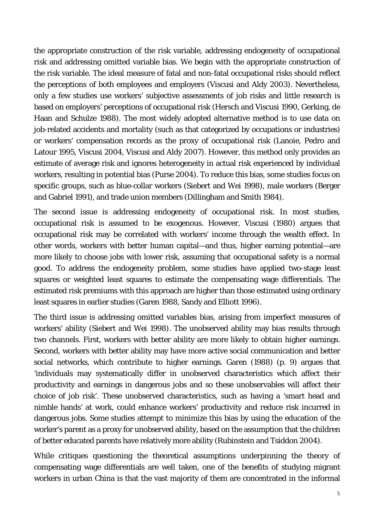the appropriate construction of the risk variable, addressing endogeneity of occupational risk and addressing omitted variable bias. We begin with the appropriate construction of the risk variable. The ideal measure of fatal and non-fatal occupational risks should reflect the perceptions of both employees and employers [\(Viscusi and Aldy 2003\)](#page-19-5). Nevertheless, only a few studies use workers' subjective assessments of job risks and little research is based on employers' perceptions of occupational risk [\(Hersch and Viscusi 1990,](#page-17-9) [Gerking, de](#page-17-10)  [Haan and Schulze 1988\)](#page-17-10). The most widely adopted alternative method is to use data on job-related accidents and mortality (such as that categorized by occupations or industries) or workers' compensation records as the proxy of occupational risk [\(Lanoie, Pedro and](#page-17-11)  [Latour 1995,](#page-17-11) [Viscusi 2004,](#page-19-8) [Viscusi and Aldy 2007\)](#page-19-9). However, this method only provides an estimate of average risk and ignores heterogeneity in actual risk experienced by individual workers, resulting in potential bias [\(Purse 2004\)](#page-18-8). To reduce this bias, some studies focus on specific groups, such as blue-collar workers [\(Siebert and Wei 1998\)](#page-19-7), male workers [\(Berger](#page-16-8)  [and Gabriel 1991\)](#page-16-8), and trade union members [\(Dillingham and Smith 1984\)](#page-16-9).

The second issue is addressing endogeneity of occupational risk. In most studies, occupational risk is assumed to be exogenous. However, [Viscusi \(1980\)](#page-19-10) argues that occupational risk may be correlated with workers' income through the wealth effect. In other words, workers with better human capital—and thus, higher earning potential—are more likely to choose jobs with lower risk, assuming that occupational safety is a normal good. To address the endogeneity problem, some studies have applied two-stage least squares or weighted least squares to estimate the compensating wage differentials. The estimated risk premiums with this approach are higher than those estimated using ordinary least squares in earlier studies [\(Garen 1988,](#page-16-10) [Sandy and Elliott 1996\)](#page-18-9).

The third issue is addressing omitted variables bias, arising from imperfect measures of workers' ability [\(Siebert and Wei 1998\)](#page-19-7). The unobserved ability may bias results through two channels. First, workers with better ability are more likely to obtain higher earnings. Second, workers with better ability may have more active social communication and better social networks, which contribute to higher earnings. Garen [\(1988\)](#page-16-10) (p. 9) argues that 'individuals may systematically differ in unobserved characteristics which affect their productivity and earnings in dangerous jobs and so these unobservables will affect their choice of job risk'. These unobserved characteristics, such as having a 'smart head and nimble hands' at work, could enhance workers' productivity and reduce risk incurred in dangerous jobs. Some studies attempt to minimize this bias by using the education of the worker's parent as a proxy for unobserved ability, based on the assumption that the children of better educated parents have relatively more ability [\(Rubinstein and Tsiddon 2004\)](#page-18-10).

While critiques questioning the theoretical assumptions underpinning the theory of compensating wage differentials are well taken, one of the benefits of studying migrant workers in urban China is that the vast majority of them are concentrated in the informal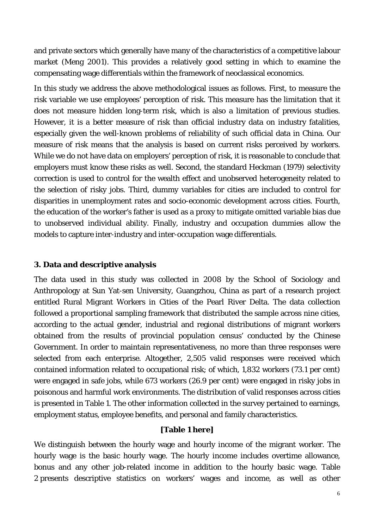and private sectors which generally have many of the characteristics of a competitive labour market [\(Meng 2001\)](#page-17-12). This provides a relatively good setting in which to examine the compensating wage differentials within the framework of neoclassical economics.

In this study we address the above methodological issues as follows. First, to measure the risk variable we use employees' perception of risk. This measure has the limitation that it does not measure hidden long-term risk, which is also a limitation of previous studies. However, it is a better measure of risk than official industry data on industry fatalities, especially given the well-known problems of reliability of such official data in China. Our measure of risk means that the analysis is based on current risks perceived by workers. While we do not have data on employers' perception of risk, it is reasonable to conclude that employers must know these risks as well. Second, the standard Heckman (1979) selectivity correction is used to control for the wealth effect and unobserved heterogeneity related to the selection of risky jobs. Third, dummy variables for cities are included to control for disparities in unemployment rates and socio-economic development across cities. Fourth, the education of the worker's father is used as a proxy to mitigate omitted variable bias due to unobserved individual ability. Finally, industry and occupation dummies allow the models to capture inter-industry and inter-occupation wage differentials.

## **3. Data and descriptive analysis**

The data used in this study was collected in 2008 by the School of Sociology and Anthropology at Sun Yat-sen University, Guangzhou, China as part of a research project entitled Rural Migrant Workers in Cities of the Pearl River Delta. The data collection followed a proportional sampling framework that distributed the sample across nine cities, according to the actual gender, industrial and regional distributions of migrant workers obtained from the results of provincial population census' conducted by the Chinese Government. In order to maintain representativeness, no more than three responses were selected from each enterprise. Altogether, 2,505 valid responses were received which contained information related to occupational risk; of which, 1,832 workers (73.1 per cent) were engaged in safe jobs, while 673 workers (26.9 per cent) were engaged in risky jobs in poisonous and harmful work environments. The distribution of valid responses across cities is presented in Table 1. The other information collected in the survey pertained to earnings, employment status, employee benefits, and personal and family characteristics.

## **[Table 1 here]**

We distinguish between the hourly wage and hourly income of the migrant worker. The hourly wage is the basic hourly wage. The hourly income includes overtime allowance, bonus and any other job-related income in addition to the hourly basic wage. Table 2 presents descriptive statistics on workers' wages and income, as well as other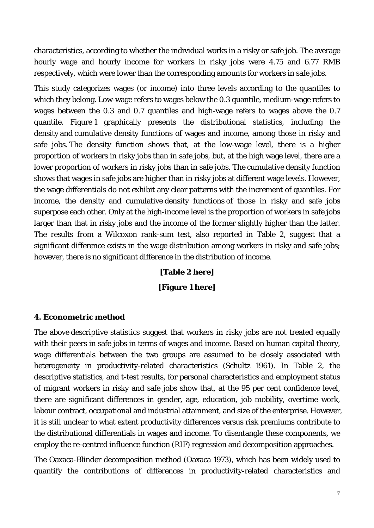characteristics, according to whether the individual works in a risky or safe job. The average hourly wage and hourly income for workers in risky jobs were 4.75 and 6.77 RMB respectively, which were lower than the corresponding amounts for workers in safe jobs.

This study categorizes wages (or income) into three levels according to the quantiles to which they belong. Low-wage refers to wages below the 0.3 quantile, medium-wage refers to wages between the 0.3 and 0.7 quantiles and high-wage refers to wages above the 0.7 quantile. Figure 1 graphically presents the distributional statistics, including the density and cumulative density functions of wages and income, among those in risky and safe jobs. The density function shows that, at the low-wage level, there is a higher proportion of workers in risky jobs than in safe jobs, but, at the high wage level, there are a lower proportion of workers in risky jobs than in safe jobs. The cumulative density function shows that wages in safe jobs are higher than in risky jobs at different wage levels. However, the wage differentials do not exhibit any clear patterns with the increment of quantiles. For income, the density and cumulative density functions of those in risky and safe jobs superpose each other. Only at the high-income level is the proportion of workers in safe jobs larger than that in risky jobs and the income of the former slightly higher than the latter. The results from a Wilcoxon rank-sum test, also reported in Table 2, suggest that a significant difference exists in the wage distribution among workers in risky and safe jobs; however, there is no significant difference in the distribution of income.

> **[Table 2 here] [Figure 1 here]**

#### **4. Econometric method**

The above descriptive statistics suggest that workers in risky jobs are not treated equally with their peers in safe jobs in terms of wages and income. Based on human capital theory, wage differentials between the two groups are assumed to be closely associated with heterogeneity in productivity-related characteristics [\(Schultz 1961\)](#page-18-11). In Table 2, the descriptive statistics, and t-test results, for personal characteristics and employment status of migrant workers in risky and safe jobs show that, at the 95 per cent confidence level, there are significant differences in gender, age, education, job mobility, overtime work, labour contract, occupational and industrial attainment, and size of the enterprise. However, it is still unclear to what extent productivity differences versus risk premiums contribute to the distributional differentials in wages and income. To disentangle these components, we employ the re-centred influence function (RIF) regression and decomposition approaches.

The Oaxaca-Blinder decomposition method [\(Oaxaca 1973\)](#page-18-12), which has been widely used to quantify the contributions of differences in productivity-related characteristics and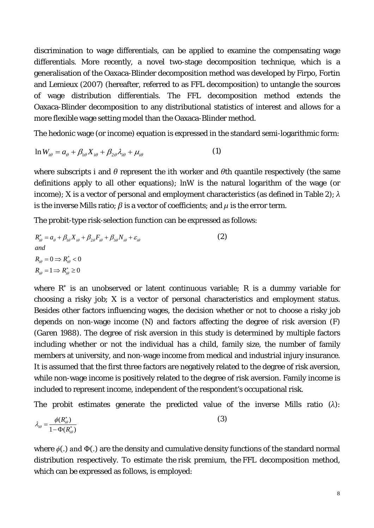discrimination to wage differentials, can be applied to examine the compensating wage differentials. More recently, a novel two-stage decomposition technique, which is a generalisation of the Oaxaca-Blinder decomposition method was developed by Firpo, Fortin and Lemieux [\(2007\)](#page-16-11) (hereafter, referred to as FFL decomposition) to untangle the *sources* of wage distribution differentials. The FFL decomposition method extends the Oaxaca-Blinder decomposition to any distributional statistics of interest and allows for a more flexible wage setting model than the Oaxaca-Blinder method.

The hedonic wage (or income) equation is expressed in the standard semi-logarithmic form:

$$
\ln W_{i\theta} = a_{\theta} + \beta_{1\theta} X_{i\theta} + \beta_{2\theta} \lambda_{i\theta} + \mu_{i\theta}
$$
 (1)

where subscripts *i* and *θ* represent the *i*th worker and *θ*th quantile respectively (the same definitions apply to all other equations); ln*W* is the natural logarithm of the wage (or income); *X* is a vector of personal and employment characteristics (as defined in Table 2); *λ* is the inverse Mills ratio;  $\beta$  is a vector of coefficients; and  $\mu$  is the error term.

The probit-type risk-selection function can be expressed as follows:

$$
R_{i\theta}^* = a_{\theta} + \beta_{1\theta} X_{i\theta} + \beta_{2\theta} F_{i\theta} + \beta_{3\theta} N_{i\theta} + \varepsilon_{i\theta}
$$
  
\nand  
\n
$$
R_{i\theta} = 0 \implies R_{i\theta}^* < 0
$$
  
\n
$$
R_{i\theta} = 1 \implies R_{i\theta}^* \ge 0
$$
\n(2)

where *R\** is an unobserved or latent continuous variable; *R* is a dummy variable for choosing a risky job; *X* is a vector of personal characteristics and employment status. Besides other factors influencing wages, the decision whether or not to choose a risky job depends on non-wage income (*N*) and factors affecting the degree of risk aversion (*F*) [\(Garen 1988\)](#page-16-10). The degree of risk aversion in this study is determined by multiple factors including whether or not the individual has a child, family size, the number of family members at university, and non-wage income from medical and industrial injury insurance. It is assumed that the first three factors are negatively related to the degree of risk aversion, while non-wage income is positively related to the degree of risk aversion. Family income is included to represent income, independent of the respondent's occupational risk.

The probit estimates generate the predicted value of the inverse Mills ratio (*λ*):

$$
\lambda_{i\theta} = \frac{\phi(R_{i\theta}^*)}{1 - \Phi(R_{i\theta}^*)}
$$
\n(3)

where *ϕ*(.) and Ф(.) are the density and cumulative density functions of the standard normal distribution respectively. To estimate the risk premium, the FFL decomposition method, which can be expressed as follows, is employed: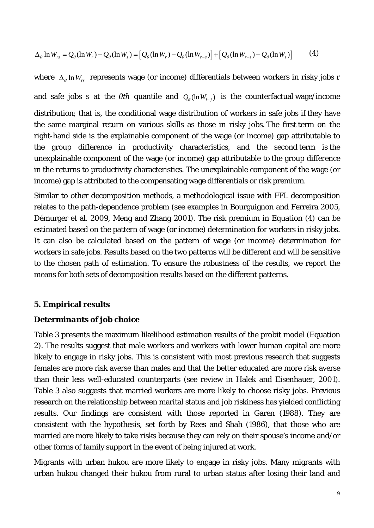$$
\Delta_{\theta} \ln W_{rs} = Q_{\theta} (\ln W_r) - Q_{\theta} (\ln W_s) = [Q_{\theta} (\ln W_r) - Q_{\theta} (\ln W_{r-s})] + [Q_{\theta} (\ln W_{r-s}) - Q_{\theta} (\ln W_s)] \tag{4}
$$

where Δ<sub>θ</sub> ln W<sub>rs</sub> represents wage (or income) differentials between workers in risky jobs *r* and safe jobs *s* at the  $\theta$ th quantile and  $Q_{\theta}(\ln W_{i-j})$  is the counterfactual wage/income distribution; that is, the conditional wage distribution of workers in safe jobs if they have the same marginal return on various skills as those in risky jobs. The first term on the right-hand side is the explainable component of the wage (or income) gap attributable to the group difference in productivity characteristics, and the second term is the unexplainable component of the wage (or income) gap attributable to the group difference in the returns to productivity characteristics. The unexplainable component of the wage (or income) gap is attributed to the compensating wage differentials or risk premium.

Similar to other decomposition methods, a methodological issue with FFL decomposition relates to the path-dependence problem (see examples in [Bourguignon and Ferreira 2005,](#page-16-12) [Démurger et al. 2009,](#page-16-13) [Meng and Zhang 2001\)](#page-18-13). The risk premium in Equation (4) can be estimated based on the pattern of wage (or income) determination for workers in risky jobs. It can also be calculated based on the pattern of wage (or income) determination for workers in safe jobs. Results based on the two patterns will be different and will be sensitive to the chosen path of estimation. To ensure the robustness of the results, we report the means for both sets of decomposition results based on the different patterns.

#### **5. Empirical results**

#### *Determinants of job choice*

Table 3 presents the maximum likelihood estimation results of the probit model (Equation 2). The results suggest that male workers and workers with lower human capital are more likely to engage in risky jobs. This is consistent with most previous research that suggests females are more risk averse than males and that the better educated are more risk averse than their less well-educated counterparts (see review in Halek and Eisenhauer, 2001). Table 3 also suggests that married workers are more likely to choose risky jobs. Previous research on the relationship between marital status and job riskiness has yielded conflicting results. Our findings are consistent with those reported in Garen (1988). They are consistent with the hypothesis, set forth by Rees and Shah (1986), that those who are married are more likely to take risks because they can rely on their spouse's income and/or other forms of family support in the event of being injured at work.

Migrants with urban *hukou* are more likely to engage in risky jobs. Many migrants with urban *hukou* changed their hukou from rural to urban status after losing their land and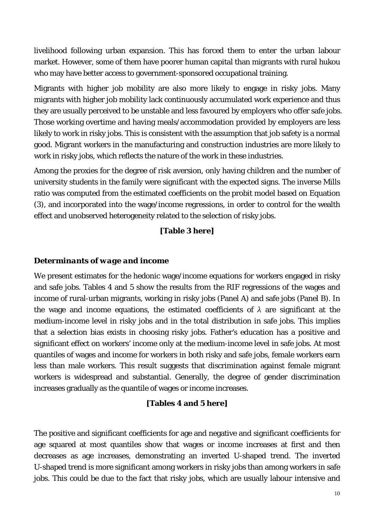livelihood following urban expansion. This has forced them to enter the urban labour market. However, some of them have poorer human capital than migrants with rural *hukou*  who may have better access to government-sponsored occupational training.

Migrants with higher job mobility are also more likely to engage in risky jobs. Many migrants with higher job mobility lack continuously accumulated work experience and thus they are usually perceived to be unstable and less favoured by employers who offer safe jobs. Those working overtime and having meals/accommodation provided by employers are less likely to work in risky jobs. This is consistent with the assumption that job safety is a normal good. Migrant workers in the manufacturing and construction industries are more likely to work in risky jobs, which reflects the nature of the work in these industries.

Among the proxies for the degree of risk aversion, only having children and the number of university students in the family were significant with the expected signs. The inverse Mills ratio was computed from the estimated coefficients on the probit model based on Equation (3), and incorporated into the wage/income regressions, in order to control for the wealth effect and unobserved heterogeneity related to the selection of risky jobs.

## **[Table 3 here]**

#### *Determinants of wage and income*

We present estimates for the hedonic wage/income equations for workers engaged in risky and safe jobs. Tables 4 and 5 show the results from the RIF regressions of the wages and income of rural-urban migrants, working in risky jobs (Panel A) and safe jobs (Panel B). In the wage and income equations, the estimated coefficients of  $\lambda$  are significant at the medium-income level in risky jobs and in the total distribution in safe jobs. This implies that a selection bias exists in choosing risky jobs. Father's education has a positive and significant effect on workers' income only at the medium-income level in safe jobs. At most quantiles of wages and income for workers in both risky and safe jobs, female workers earn less than male workers. This result suggests that discrimination against female migrant workers is widespread and substantial. Generally, the degree of gender discrimination increases gradually as the quantile of wages or income increases.

#### **[Tables 4 and 5 here]**

The positive and significant coefficients for age and negative and significant coefficients for age squared at most quantiles show that wages or income increases at first and then decreases as age increases, demonstrating an inverted U-shaped trend. The inverted U-shaped trend is more significant among workers in risky jobs than among workers in safe jobs. This could be due to the fact that risky jobs, which are usually labour intensive and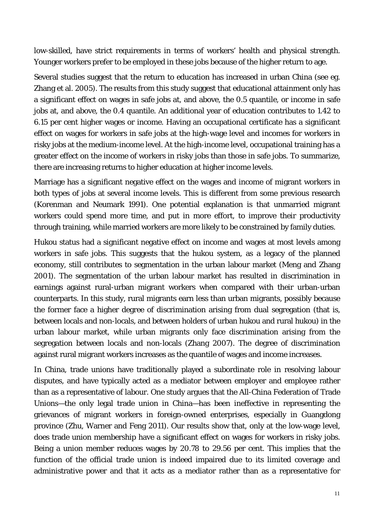low-skilled, have strict requirements in terms of workers' health and physical strength. Younger workers prefer to be employed in these jobs because of the higher return to age.

Several studies suggest that the return to education has increased in urban China (see eg. [Zhang et al. 2005\)](#page-19-11). The results from this study suggest that educational attainment only has a significant effect on wages in safe jobs at, and above, the 0.5 quantile, or income in safe jobs at, and above, the 0.4 quantile. An additional year of education contributes to 1.42 to 6.15 per cent higher wages or income. Having an occupational certificate has a significant effect on wages for workers in safe jobs at the high-wage level and incomes for workers in risky jobs at the medium-income level. At the high-income level, occupational training has a greater effect on the income of workers in risky jobs than those in safe jobs. To summarize, there are increasing returns to higher education at higher income levels.

Marriage has a significant negative effect on the wages and income of migrant workers in both types of jobs at several income levels. This is different from some previous research [\(Korenman and Neumark 1991\)](#page-17-13). One potential explanation is that unmarried migrant workers could spend more time, and put in more effort, to improve their productivity through training, while married workers are more likely to be constrained by family duties.

*Hukou* status had a significant negative effect on income and wages at most levels among workers in safe jobs. This suggests that the *hukou* system, as a legacy of the planned economy, still contributes to segmentation in the urban labour market [\(Meng and Zhang](#page-18-13)  [2001\)](#page-18-13). The segmentation of the urban labour market has resulted in discrimination in earnings against rural-urban migrant workers when compared with their urban-urban counterparts. In this study, rural migrants earn less than urban migrants, possibly because the former face a higher degree of discrimination arising from dual segregation (that is, between locals and non-locals, and between holders of urban *hukou* and rural *hukou*) in the urban labour market, while urban migrants only face discrimination arising from the segregation between locals and non-locals [\(Zhang 2007\)](#page-19-12). The degree of discrimination against rural migrant workers increases as the quantile of wages and income increases.

In China, trade unions have traditionally played a subordinate role in resolving labour disputes, and have typically acted as a mediator between employer and employee rather than as a representative of labour. One study argues that the All-China Federation of Trade Unions—the only legal trade union in China—has been ineffective in representing the grievances of migrant workers in foreign-owned enterprises, especially in Guangdong province [\(Zhu, Warner and Feng 2011\)](#page-19-13). Our results show that, only at the low-wage level, does trade union membership have a significant effect on wages for workers in risky jobs. Being a union member reduces wages by 20.78 to 29.56 per cent. This implies that the function of the official trade union is indeed impaired due to its limited coverage and administrative power and that it acts as a mediator rather than as a representative for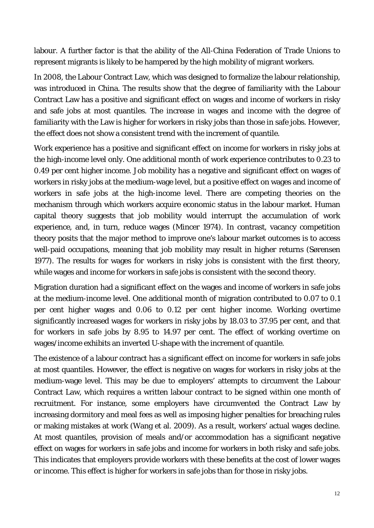labour. A further factor is that the ability of the All-China Federation of Trade Unions to represent migrants is likely to be hampered by the high mobility of migrant workers.

In 2008, the Labour Contract Law, which was designed to formalize the labour relationship, was introduced in China. The results show that the degree of familiarity with the Labour Contract Law has a positive and significant effect on wages and income of workers in risky and safe jobs at most quantiles. The increase in wages and income with the degree of familiarity with the Law is higher for workers in risky jobs than those in safe jobs. However, the effect does not show a consistent trend with the increment of quantile.

Work experience has a positive and significant effect on income for workers in risky jobs at the high-income level only. One additional month of work experience contributes to 0.23 to 0.49 per cent higher income. Job mobility has a negative and significant effect on wages of workers in risky jobs at the medium-wage level, but a positive effect on wages and income of workers in safe jobs at the high-income level. There are competing theories on the mechanism through which workers acquire economic status in the labour market. Human capital theory suggests that job mobility would interrupt the accumulation of work experience, and, in turn, reduce wages [\(Mincer 1974\)](#page-18-14). In contrast, vacancy competition theory posits that the major method to improve one's labour market outcomes is to access well-paid occupations, meaning that job mobility may result in higher returns [\(Sørensen](#page-19-14)  [1977\)](#page-19-14). The results for wages for workers in risky jobs is consistent with the first theory, while wages and income for workers in safe jobs is consistent with the second theory.

Migration duration had a significant effect on the wages and income of workers in safe jobs at the medium-income level. One additional month of migration contributed to 0.07 to 0.1 per cent higher wages and 0.06 to 0.12 per cent higher income. Working overtime significantly increased wages for workers in risky jobs by 18.03 to 37.95 per cent, and that for workers in safe jobs by 8.95 to 14.97 per cent. The effect of working overtime on wages/income exhibits an inverted U-shape with the increment of quantile.

The existence of a labour contract has a significant effect on income for workers in safe jobs at most quantiles. However, the effect is negative on wages for workers in risky jobs at the medium-wage level. This may be due to employers' attempts to circumvent the Labour Contract Law, which requires a written labour contract to be signed within one month of recruitment. For instance, some employers have circumvented the Contract Law by increasing dormitory and meal fees as well as imposing higher penalties for breaching rules or making mistakes at work [\(Wang et al. 2009\)](#page-19-15). As a result, workers' actual wages decline. At most quantiles, provision of meals and/or accommodation has a significant negative effect on wages for workers in safe jobs and income for workers in both risky and safe jobs. This indicates that employers provide workers with these benefits at the cost of lower wages or income. This effect is higher for workers in safe jobs than for those in risky jobs.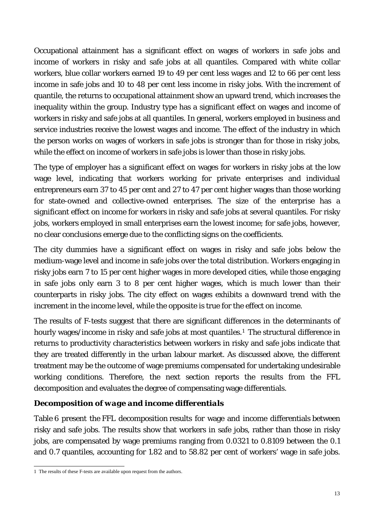Occupational attainment has a significant effect on wages of workers in safe jobs and income of workers in risky and safe jobs at all quantiles. Compared with white collar workers, blue collar workers earned 19 to 49 per cent less wages and 12 to 66 per cent less income in safe jobs and 10 to 48 per cent less income in risky jobs. With the increment of quantile, the returns to occupational attainment show an upward trend, which increases the inequality within the group. Industry type has a significant effect on wages and income of workers in risky and safe jobs at all quantiles. In general, workers employed in business and service industries receive the lowest wages and income. The effect of the industry in which the person works on wages of workers in safe jobs is stronger than for those in risky jobs, while the effect on income of workers in safe jobs is lower than those in risky jobs.

The type of employer has a significant effect on wages for workers in risky jobs at the low wage level, indicating that workers working for private enterprises and individual entrepreneurs earn 37 to 45 per cent and 27 to 47 per cent higher wages than those working for state-owned and collective-owned enterprises. The size of the enterprise has a significant effect on income for workers in risky and safe jobs at several quantiles. For risky jobs, workers employed in small enterprises earn the lowest income; for safe jobs, however, no clear conclusions emerge due to the conflicting signs on the coefficients.

The city dummies have a significant effect on wages in risky and safe jobs below the medium-wage level and income in safe jobs over the total distribution. Workers engaging in risky jobs earn 7 to 15 per cent higher wages in more developed cities, while those engaging in safe jobs only earn 3 to 8 per cent higher wages, which is much lower than their counterparts in risky jobs. The city effect on wages exhibits a downward trend with the increment in the income level, while the opposite is true for the effect on income.

The results of F-tests suggest that there are significant differences in the determinants of hourly wages/income in risky and safe jobs at most quantiles.<sup>1</sup> The structural difference in returns to productivity characteristics between workers in risky and safe jobs indicate that they are treated differently in the urban labour market. As discussed above, the different treatment may be the outcome of wage premiums compensated for undertaking undesirable working conditions. Therefore, the next section reports the results from the FFL decomposition and evaluates the degree of compensating wage differentials.

## *Decomposition of wage and income differentials*

Table 6 present the FFL decomposition results for wage and income differentials between risky and safe jobs. The results show that workers in safe jobs, rather than those in risky jobs, are compensated by wage premiums ranging from 0.0321 to 0.8109 between the 0.1 and 0.7 quantiles, accounting for 1.82 and to 58.82 per cent of workers' wage in safe jobs.

 <sup>1</sup> The results of these F-tests are available upon request from the authors.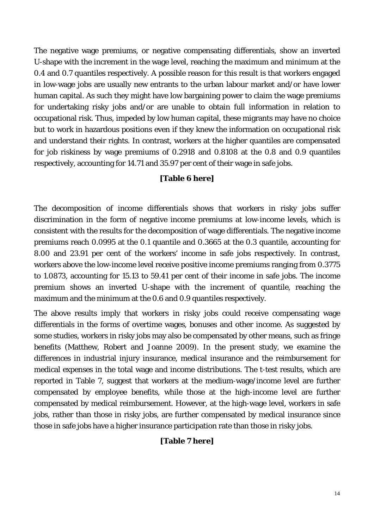The negative wage premiums, or negative compensating differentials, show an inverted U-shape with the increment in the wage level, reaching the maximum and minimum at the 0.4 and 0.7 quantiles respectively. A possible reason for this result is that workers engaged in low-wage jobs are usually new entrants to the urban labour market and/or have lower human capital. As such they might have low bargaining power to claim the wage premiums for undertaking risky jobs and/or are unable to obtain full information in relation to occupational risk. Thus, impeded by low human capital, these migrants may have no choice but to work in hazardous positions even if they knew the information on occupational risk and understand their rights. In contrast, workers at the higher quantiles are compensated for job riskiness by wage premiums of 0.2918 and 0.8108 at the 0.8 and 0.9 quantiles respectively, accounting for 14.71 and 35.97 per cent of their wage in safe jobs.

### **[Table 6 here]**

The decomposition of income differentials shows that workers in risky jobs suffer discrimination in the form of negative income premiums at low-income levels, which is consistent with the results for the decomposition of wage differentials. The negative income premiums reach 0.0995 at the 0.1 quantile and 0.3665 at the 0.3 quantile, accounting for 8.00 and 23.91 per cent of the workers' income in safe jobs respectively. In contrast, workers above the low-income level receive positive income premiums ranging from 0.3775 to 1.0873, accounting for 15.13 to 59.41 per cent of their income in safe jobs. The income premium shows an inverted U-shape with the increment of quantile, reaching the maximum and the minimum at the 0.6 and 0.9 quantiles respectively.

The above results imply that workers in risky jobs could receive compensating wage differentials in the forms of overtime wages, bonuses and other income. As suggested by some studies, workers in risky jobs may also be compensated by other means, such as fringe benefits [\(Matthew, Robert and Joanne 2009\)](#page-17-14). In the present study, we examine the differences in industrial injury insurance, medical insurance and the reimbursement for medical expenses in the total wage and income distributions. The t-test results, which are reported in Table 7, suggest that workers at the medium-wage/income level are further compensated by employee benefits, while those at the high-income level are further compensated by medical reimbursement. However, at the high-wage level, workers in safe jobs, rather than those in risky jobs, are further compensated by medical insurance since those in safe jobs have a higher insurance participation rate than those in risky jobs.

#### **[Table 7 here]**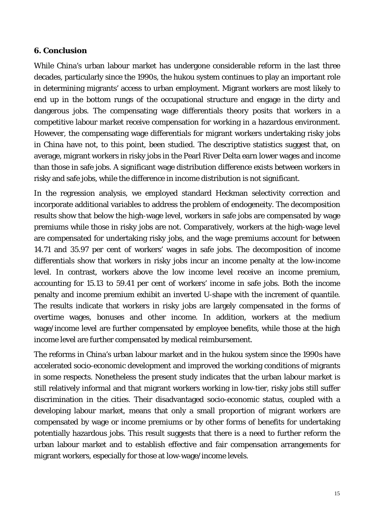#### **6. Conclusion**

While China's urban labour market has undergone considerable reform in the last three decades, particularly since the 1990s, the *hukou* system continues to play an important role in determining migrants' access to urban employment. Migrant workers are most likely to end up in the bottom rungs of the occupational structure and engage in the dirty and dangerous jobs. The compensating wage differentials theory posits that workers in a competitive labour market receive compensation for working in a hazardous environment. However, the compensating wage differentials for migrant workers undertaking risky jobs in China have not, to this point, been studied. The descriptive statistics suggest that, on average, migrant workers in risky jobs in the Pearl River Delta earn lower wages and income than those in safe jobs. A significant wage distribution difference exists between workers in risky and safe jobs, while the difference in income distribution is not significant.

In the regression analysis, we employed standard Heckman selectivity correction and incorporate additional variables to address the problem of endogeneity. The decomposition results show that below the high-wage level, workers in safe jobs are compensated by wage premiums while those in risky jobs are not. Comparatively, workers at the high-wage level are compensated for undertaking risky jobs, and the wage premiums account for between 14.71 and 35.97 per cent of workers' wages in safe jobs. The decomposition of income differentials show that workers in risky jobs incur an income penalty at the low-income level. In contrast, workers above the low income level receive an income premium, accounting for 15.13 to 59.41 per cent of workers' income in safe jobs. Both the income penalty and income premium exhibit an inverted U-shape with the increment of quantile. The results indicate that workers in risky jobs are largely compensated in the forms of overtime wages, bonuses and other income. In addition, workers at the medium wage/income level are further compensated by employee benefits, while those at the high income level are further compensated by medical reimbursement.

The reforms in China's urban labour market and in the *hukou* system since the 1990s have accelerated socio-economic development and improved the working conditions of migrants in some respects. Nonetheless the present study indicates that the urban labour market is still relatively informal and that migrant workers working in low-tier, risky jobs still suffer discrimination in the cities. Their disadvantaged socio-economic status, coupled with a developing labour market, means that only a small proportion of migrant workers are compensated by wage or income premiums or by other forms of benefits for undertaking potentially hazardous jobs. This result suggests that there is a need to further reform the urban labour market and to establish effective and fair compensation arrangements for migrant workers, especially for those at low-wage/income levels.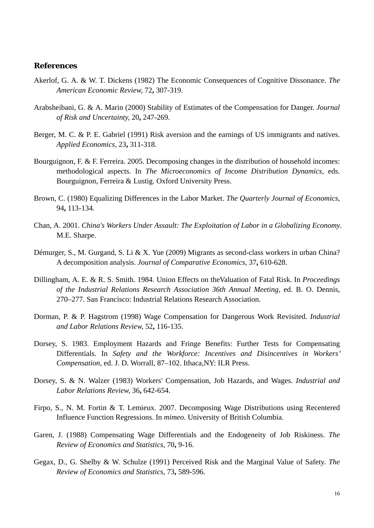#### **References**

- <span id="page-16-7"></span>Akerlof, G. A. & W. T. Dickens (1982) The Economic Consequences of Cognitive Dissonance. *The American Economic Review,* 72**,** 307-319.
- <span id="page-16-6"></span>Arabsheibani, G. & A. Marin (2000) Stability of Estimates of the Compensation for Danger. *Journal of Risk and Uncertainty,* 20**,** 247-269.
- <span id="page-16-8"></span>Berger, M. C. & P. E. Gabriel (1991) Risk aversion and the earnings of US immigrants and natives. *Applied Economics,* 23**,** 311-318.
- <span id="page-16-12"></span>Bourguignon, F. & F. Ferreira. 2005. Decomposing changes in the distribution of household incomes: methodological aspects. In *The Microeconomics of Income Distribution Dynamics,* eds. Bourguignon, Ferreira & Lustig. Oxford University Press.
- <span id="page-16-1"></span>Brown, C. (1980) Equalizing Differences in the Labor Market. *The Quarterly Journal of Economics,* 94**,** 113-134.
- <span id="page-16-0"></span>Chan, A. 2001. *China's Workers Under Assault: The Exploitation of Labor in a Globalizing Economy*. M.E. Sharpe.
- <span id="page-16-13"></span>Démurger, S., M. Gurgand, S. Li & X. Yue (2009) Migrants as second-class workers in urban China? A decomposition analysis. *Journal of Comparative Economics,* 37**,** 610-628.
- <span id="page-16-9"></span>Dillingham, A. E. & R. S. Smith. 1984. Union Effects on theValuation of Fatal Risk. In *Proceedings of the Industrial Relations Research Association 36th Annual Meeting,* ed. B. O. Dennis, 270–277. San Francisco: Industrial Relations Research Association.
- <span id="page-16-5"></span>Dorman, P. & P. Hagstrom (1998) Wage Compensation for Dangerous Work Revisited. *Industrial and Labor Relations Review,* 52**,** 116-135.
- <span id="page-16-3"></span>Dorsey, S. 1983. Employment Hazards and Fringe Benefits: Further Tests for Compensating Differentials. In *Safety and the Workforce: Incentives and Disincentives in Workers' Compensation,* ed. J. D. Worrall, 87–102. Ithaca,NY: ILR Press.
- <span id="page-16-2"></span>Dorsey, S. & N. Walzer (1983) Workers' Compensation, Job Hazards, and Wages. *Industrial and Labor Relations Review,* 36**,** 642-654.
- <span id="page-16-11"></span>Firpo, S., N. M. Fortin & T. Lemieux. 2007. Decomposing Wage Distributions using Recentered Influence Function Regressions. In *mimeo*. University of British Columbia.
- <span id="page-16-10"></span>Garen, J. (1988) Compensating Wage Differentials and the Endogeneity of Job Riskiness. *The Review of Economics and Statistics,* 70**,** 9-16.
- <span id="page-16-4"></span>Gegax, D., G. Shelby & W. Schulze (1991) Perceived Risk and the Marginal Value of Safety. *The Review of Economics and Statistics,* 73**,** 589-596.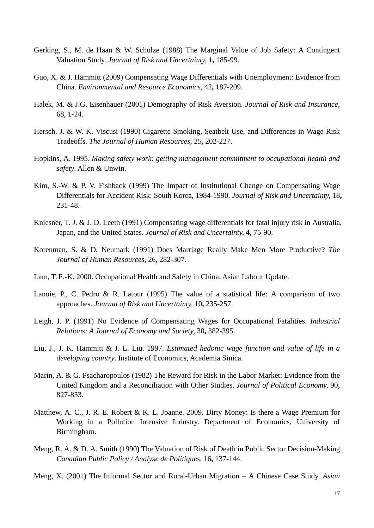- <span id="page-17-10"></span>Gerking, S., M. de Haan & W. Schulze (1988) The Marginal Value of Job Safety: A Contingent Valuation Study. *Journal of Risk and Uncertainty,* 1**,** 185-99.
- <span id="page-17-1"></span>Guo, X. & J. Hammitt (2009) Compensating Wage Differentials with Unemployment: Evidence from China. *Environmental and Resource Economics,* 42**,** 187-209.
- Halek, M. & J.G. Eisenhauer (2001) Demography of Risk Aversion. *Journal of Risk and Insurance,*  68, 1-24.
- <span id="page-17-9"></span>Hersch, J. & W. K. Viscusi (1990) Cigarette Smoking, Seatbelt Use, and Differences in Wage-Risk Tradeoffs. *The Journal of Human Resources,* 25**,** 202-227.
- <span id="page-17-8"></span>Hopkins, A. 1995. *Making safety work: getting management commitment to occupational health and safety*. Allen & Unwin.
- <span id="page-17-4"></span>Kim, S.-W. & P. V. Fishback (1999) The Impact of Institutional Change on Compensating Wage Differentials for Accident Risk: South Korea, 1984-1990. *Journal of Risk and Uncertainty,* 18**,** 231-48.
- <span id="page-17-2"></span>Kniesner, T. J. & J. D. Leeth (1991) Compensating wage differentials for fatal injury risk in Australia, Japan, and the United States. *Journal of Risk and Uncertainty,* 4**,** 75-90.
- <span id="page-17-13"></span>Korenman, S. & D. Neumark (1991) Does Marriage Really Make Men More Productive? *The Journal of Human Resources,* 26**,** 282-307.
- <span id="page-17-0"></span>Lam, T. F.-K. 2000. Occupational Health and Safety in China. Asian Labour Update.
- <span id="page-17-11"></span>Lanoie, P., C. Pedro & R. Latour (1995) The value of a statistical life: A comparison of two approaches. *Journal of Risk and Uncertainty,* 10**,** 235-257.
- <span id="page-17-6"></span>Leigh, J. P. (1991) No Evidence of Compensating Wages for Occupational Fatalities. *Industrial Relations: A Journal of Economy and Society,* 30**,** 382-395.
- <span id="page-17-5"></span>Liu, J., J. K. Hammitt & J. L. Liu. 1997. *Estimated hedonic wage function and value of life in a developing country*. Institute of Economics, Academia Sinica.
- <span id="page-17-3"></span>Marin, A. & G. Psacharopoulos (1982) The Reward for Risk in the Labor Market: Evidence from the United Kingdom and a Reconciliation with Other Studies. *Journal of Political Economy,* 90**,** 827-853.
- <span id="page-17-14"></span>Matthew, A. C., J. R. E. Robert & K. L. Joanne. 2009. Dirty Money: Is there a Wage Premium for Working in a Pollution Intensive Industry. Department of Economics, University of Birmingham.
- <span id="page-17-7"></span>Meng, R. A. & D. A. Smith (1990) The Valuation of Risk of Death in Public Sector Decision-Making. *Canadian Public Policy / Analyse de Politiques,* 16**,** 137-144.
- <span id="page-17-12"></span>Meng, X. (2001) The Informal Sector and Rural-Urban Migration – A Chinese Case Study. *Asian*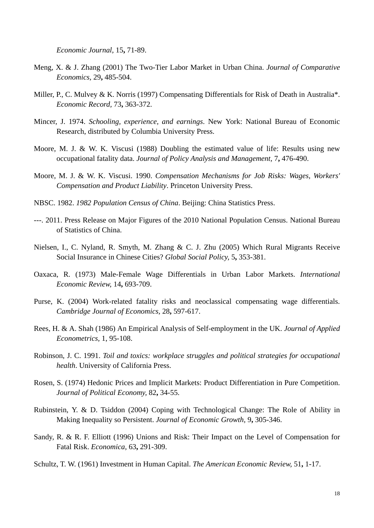*Economic Journal,* 15**,** 71-89.

- <span id="page-18-13"></span>Meng, X. & J. Zhang (2001) The Two-Tier Labor Market in Urban China. *Journal of Comparative Economics,* 29**,** 485-504.
- <span id="page-18-4"></span>Miller, P., C. Mulvey & K. Norris (1997) Compensating Differentials for Risk of Death in Australia\*. *Economic Record,* 73**,** 363-372.
- <span id="page-18-14"></span>Mincer, J. 1974. *Schooling, experience, and earnings*. New York: National Bureau of Economic Research, distributed by Columbia University Press.
- <span id="page-18-6"></span>Moore, M. J. & W. K. Viscusi (1988) Doubling the estimated value of life: Results using new occupational fatality data. *Journal of Policy Analysis and Management,* 7**,** 476-490.
- <span id="page-18-5"></span>Moore, M. J. & W. K. Viscusi. 1990. *Compensation Mechanisms for Job Risks: Wages, Workers' Compensation and Product Liability*. Princeton University Press.
- <span id="page-18-0"></span>NBSC. 1982. *1982 Population Census of China*. Beijing: China Statistics Press.
- <span id="page-18-1"></span>---. 2011. Press Release on Major Figures of the 2010 National Population Census. National Bureau of Statistics of China.
- <span id="page-18-2"></span>Nielsen, I., C. Nyland, R. Smyth, M. Zhang & C. J. Zhu (2005) Which Rural Migrants Receive Social Insurance in Chinese Cities? *Global Social Policy,* 5**,** 353-381.
- <span id="page-18-12"></span>Oaxaca, R. (1973) Male-Female Wage Differentials in Urban Labor Markets. *International Economic Review,* 14**,** 693-709.
- <span id="page-18-8"></span>Purse, K. (2004) Work-related fatality risks and neoclassical compensating wage differentials. *Cambridge Journal of Economics,* 28**,** 597-617.
- Rees, H. & A. Shah (1986) An Empirical Analysis of Self-employment in the UK. *Journal of Applied Econometrics,* 1, 95-108.
- <span id="page-18-7"></span>Robinson, J. C. 1991. *Toil and toxics: workplace struggles and political strategies for occupational health*. University of California Press.
- <span id="page-18-3"></span>Rosen, S. (1974) Hedonic Prices and Implicit Markets: Product Differentiation in Pure Competition. *Journal of Political Economy,* 82**,** 34-55.
- <span id="page-18-10"></span>Rubinstein, Y. & D. Tsiddon (2004) Coping with Technological Change: The Role of Ability in Making Inequality so Persistent. *Journal of Economic Growth,* 9**,** 305-346.
- <span id="page-18-9"></span>Sandy, R. & R. F. Elliott (1996) Unions and Risk: Their Impact on the Level of Compensation for Fatal Risk. *Economica,* 63**,** 291-309.
- <span id="page-18-11"></span>Schultz, T. W. (1961) Investment in Human Capital. *The American Economic Review,* 51**,** 1-17.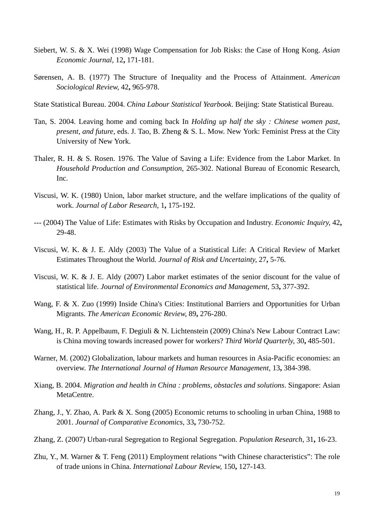- <span id="page-19-7"></span>Siebert, W. S. & X. Wei (1998) Wage Compensation for Job Risks: the Case of Hong Kong. *Asian Economic Journal,* 12**,** 171-181.
- <span id="page-19-14"></span>Sørensen, A. B. (1977) The Structure of Inequality and the Process of Attainment. *American Sociological Review,* 42**,** 965-978.
- <span id="page-19-4"></span>State Statistical Bureau. 2004. *China Labour Statistical Yearbook*. Beijing: State Statistical Bureau.
- <span id="page-19-2"></span>Tan, S. 2004. Leaving home and coming back In *Holding up half the sky : Chinese women past, present, and future,* eds. J. Tao, B. Zheng & S. L. Mow. New York: Feminist Press at the City University of New York.
- <span id="page-19-6"></span>Thaler, R. H. & S. Rosen. 1976. The Value of Saving a Life: Evidence from the Labor Market. In *Household Production and Consumption*, 265-302. National Bureau of Economic Research, Inc.
- <span id="page-19-10"></span>Viscusi, W. K. (1980) Union, labor market structure, and the welfare implications of the quality of work. *Journal of Labor Research,* 1**,** 175-192.
- <span id="page-19-8"></span>--- (2004) The Value of Life: Estimates with Risks by Occupation and Industry. *Economic Inquiry,* 42**,** 29-48.
- <span id="page-19-5"></span>Viscusi, W. K. & J. E. Aldy (2003) The Value of a Statistical Life: A Critical Review of Market Estimates Throughout the World. *Journal of Risk and Uncertainty,* 27**,** 5-76.
- <span id="page-19-9"></span>Viscusi, W. K. & J. E. Aldy (2007) Labor market estimates of the senior discount for the value of statistical life. *Journal of Environmental Economics and Management,* 53**,** 377-392.
- <span id="page-19-1"></span>Wang, F. & X. Zuo (1999) Inside China's Cities: Institutional Barriers and Opportunities for Urban Migrants. *The American Economic Review,* 89**,** 276-280.
- <span id="page-19-15"></span>Wang, H., R. P. Appelbaum, F. Degiuli & N. Lichtenstein (2009) China's New Labour Contract Law: is China moving towards increased power for workers? *Third World Quarterly,* 30**,** 485-501.
- <span id="page-19-0"></span>Warner, M. (2002) Globalization, labour markets and human resources in Asia-Pacific economies: an overview. *The International Journal of Human Resource Management,* 13**,** 384-398.
- <span id="page-19-3"></span>Xiang, B. 2004. *Migration and health in China : problems, obstacles and solutions*. Singapore: Asian MetaCentre.
- <span id="page-19-11"></span>Zhang, J., Y. Zhao, A. Park & X. Song (2005) Economic returns to schooling in urban China, 1988 to 2001. *Journal of Comparative Economics,* 33**,** 730-752.
- <span id="page-19-12"></span>Zhang, Z. (2007) Urban-rural Segregation to Regional Segregation. *Population Research,* 31**,** 16-23.
- <span id="page-19-13"></span>Zhu, Y., M. Warner & T. Feng (2011) Employment relations "with Chinese characteristics": The role of trade unions in China. *International Labour Review,* 150**,** 127-143.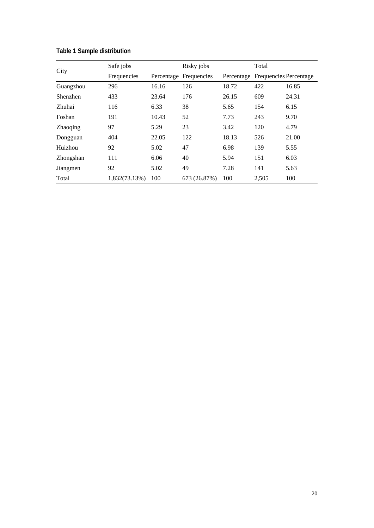| City            | Safe jobs     |       | Risky jobs             |       | Total                             |       |
|-----------------|---------------|-------|------------------------|-------|-----------------------------------|-------|
|                 | Frequencies   |       | Percentage Frequencies |       | Percentage Frequencies Percentage |       |
| Guangzhou       | 296           | 16.16 | 126                    | 18.72 | 422                               | 16.85 |
| Shenzhen        | 433           | 23.64 | 176                    | 26.15 | 609                               | 24.31 |
| Zhuhai          | 116           | 6.33  | 38                     | 5.65  | 154                               | 6.15  |
| Foshan          | 191           | 10.43 | 52                     | 7.73  | 243                               | 9.70  |
| <b>Zhaoqing</b> | 97            | 5.29  | 23                     | 3.42  | 120                               | 4.79  |
| Dongguan        | 404           | 22.05 | 122                    | 18.13 | 526                               | 21.00 |
| Huizhou         | 92            | 5.02  | 47                     | 6.98  | 139                               | 5.55  |
| Zhongshan       | 111           | 6.06  | 40                     | 5.94  | 151                               | 6.03  |
| Jiangmen        | 92            | 5.02  | 49                     | 7.28  | 141                               | 5.63  |
| Total           | 1,832(73.13%) | 100   | 673 (26.87%)           | 100   | 2,505                             | 100   |

**Table 1 Sample distribution**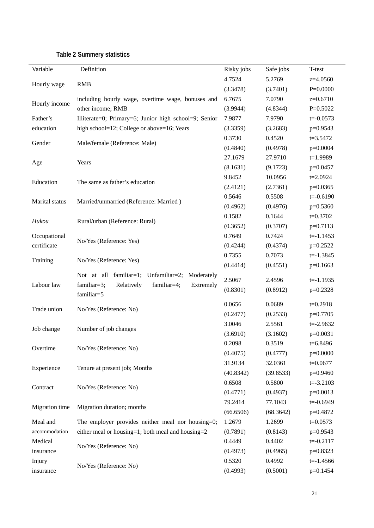| Variable       | Definition                                            | Risky jobs | Safe jobs | T-test        |
|----------------|-------------------------------------------------------|------------|-----------|---------------|
|                |                                                       | 4.7524     | 5.2769    | z=4.0560      |
| Hourly wage    | <b>RMB</b>                                            | (3.3478)   | (3.7401)  | $P=0.0000$    |
|                | including hourly wage, overtime wage, bonuses and     | 6.7675     | 7.0790    | $z=0.6710$    |
| Hourly income  | other income; RMB                                     | (3.9944)   | (4.8344)  | $P=0.5022$    |
| Father's       | Illiterate=0; Primary=6; Junior high school=9; Senior | 7.9877     | 7.9790    | $t = -0.0573$ |
| education      | high school=12; College or above=16; Years            | (3.3359)   | (3.2683)  | p=0.9543      |
|                |                                                       | 0.3730     | 0.4520    | $t = 3.5472$  |
| Gender         | Male/female (Reference: Male)                         | (0.4840)   | (0.4978)  | p=0.0004      |
|                |                                                       | 27.1679    | 27.9710   | $t=1.9989$    |
| Age            | Years                                                 | (8.1631)   | (9.1723)  | $p=0.0457$    |
|                |                                                       | 9.8452     | 10.0956   | $t = 2.0924$  |
| Education      | The same as father's education                        | (2.4121)   | (2.7361)  | p=0.0365      |
|                |                                                       | 0.5646     | 0.5508    | $t = -0.6190$ |
| Marital status | Married/unmarried (Reference: Married)                | (0.4962)   | (0.4976)  | p=0.5360      |
|                |                                                       | 0.1582     | 0.1644    | $t=0.3702$    |
| Hukou          | Rural/urban (Reference: Rural)                        | (0.3652)   | (0.3707)  | $p=0.7113$    |
| Occupational   |                                                       | 0.7649     | 0.7424    | $t = -1.1453$ |
| certificate    | No/Yes (Reference: Yes)                               | (0.4244)   | (0.4374)  | $p=0.2522$    |
|                | No/Yes (Reference: Yes)                               | 0.7355     | 0.7073    | $t = -1.3845$ |
| Training       |                                                       | (0.4414)   | (0.4551)  | $p=0.1663$    |
|                | Not at all familiar=1; Unfamiliar=2; Moderately       | 2.5067     | 2.4596    | $t = -1.1935$ |
| Labour law     | familiar=4;<br>familiar=3;<br>Relatively<br>Extremely | (0.8301)   | (0.8912)  | $p=0.2328$    |
|                | familiar=5                                            |            |           |               |
| Trade union    | No/Yes (Reference: No)                                | 0.0656     | 0.0689    | $t=0.2918$    |
|                |                                                       | (0.2477)   | (0.2533)  | p=0.7705      |
| Job change     | Number of job changes                                 | 3.0046     | 2.5561    | $t = -2.9632$ |
|                |                                                       | (3.6910)   | (3.1602)  | $p=0.0031$    |
| Overtime       | No/Yes (Reference: No)                                | 0.2098     | 0.3519    | t=6.8496      |
|                |                                                       | (0.4075)   | (0.4777)  | $p=0.0000$    |
| Experience     | Tenure at present job; Months                         | 31.9134    | 32.0361   | $t = 0.0677$  |
|                |                                                       | (40.8342)  | (39.8533) | p=0.9460      |
| Contract       | No/Yes (Reference: No)                                | 0.6508     | 0.5800    | $t = -3.2103$ |
|                |                                                       | (0.4771)   | (0.4937)  | $p=0.0013$    |
| Migration time | Migration duration; months                            | 79.2414    | 77.1043   | $t = -0.6949$ |
|                |                                                       | (66.6506)  | (68.3642) | p=0.4872      |
| Meal and       | The employer provides neither meal nor housing=0;     | 1.2679     | 1.2699    | $t = 0.0573$  |
| accommodation  | either meal or housing=1; both meal and housing=2     | (0.7891)   | (0.8143)  | p=0.9543      |
| Medical        | No/Yes (Reference: No)                                | 0.4449     | 0.4402    | $t = -0.2117$ |
| insurance      |                                                       | (0.4973)   | (0.4965)  | p=0.8323      |
| Injury         | No/Yes (Reference: No)                                | 0.5320     | 0.4992    | $t = -1.4566$ |
| insurance      |                                                       | (0.4993)   | (0.5001)  | p=0.1454      |

## **Table 2 Summery statistics**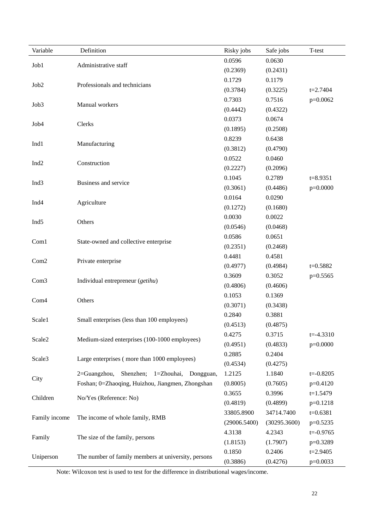| Variable         | Definition                                          | Risky jobs   | Safe jobs    | T-test        |
|------------------|-----------------------------------------------------|--------------|--------------|---------------|
|                  | Administrative staff                                | 0.0596       | 0.0630       |               |
| Job1             |                                                     | (0.2369)     | (0.2431)     |               |
|                  | Professionals and technicians                       | 0.1729       | 0.1179       |               |
| Job <sub>2</sub> |                                                     | (0.3784)     | (0.3225)     | $t = 2.7404$  |
|                  |                                                     | 0.7303       | 0.7516       | p=0.0062      |
| Job3             | Manual workers                                      | (0.4442)     | (0.4322)     |               |
|                  |                                                     | 0.0373       | 0.0674       |               |
| Job <sub>4</sub> | Clerks                                              | (0.1895)     | (0.2508)     |               |
|                  |                                                     | 0.8239       | 0.6438       |               |
| Ind1             | Manufacturing                                       | (0.3812)     | (0.4790)     |               |
|                  |                                                     | 0.0522       | 0.0460       |               |
| Ind <sub>2</sub> | Construction                                        | (0.2227)     | (0.2096)     |               |
|                  | Business and service                                | 0.1045       | 0.2789       | $t = 8.9351$  |
| Ind <sub>3</sub> |                                                     | (0.3061)     | (0.4486)     | $p=0.0000$    |
| Ind <sub>4</sub> |                                                     | 0.0164       | 0.0290       |               |
|                  | Agriculture                                         | (0.1272)     | (0.1680)     |               |
| Ind <sub>5</sub> | Others                                              | 0.0030       | 0.0022       |               |
|                  |                                                     | (0.0546)     | (0.0468)     |               |
| Com1             |                                                     | 0.0586       | 0.0651       |               |
|                  | State-owned and collective enterprise               | (0.2351)     | (0.2468)     |               |
| Com <sub>2</sub> | Private enterprise                                  | 0.4481       | 0.4581       |               |
|                  |                                                     | (0.4977)     | (0.4984)     | $t = 0.5882$  |
| Com <sub>3</sub> | Individual entrepreneur (getihu)                    | 0.3609       | 0.3052       | p=0.5565      |
|                  |                                                     | (0.4806)     | (0.4606)     |               |
| Com <sub>4</sub> | Others                                              | 0.1053       | 0.1369       |               |
|                  |                                                     | (0.3071)     | (0.3438)     |               |
| Scale1           | Small enterprises (less than 100 employees)         | 0.2840       | 0.3881       |               |
|                  |                                                     | (0.4513)     | (0.4875)     |               |
| Scale2           | Medium-sized enterprises (100-1000 employees)       | 0.4275       | 0.3715       | $t = -4.3310$ |
|                  |                                                     | (0.4951)     | (0.4833)     | $p=0.0000$    |
| Scale3           | Large enterprises (more than 1000 employees)        | 0.2885       | 0.2404       |               |
|                  |                                                     | (0.4534)     | (0.4275)     |               |
| City             | Shenzhen; 1=Zhouhai, Dongguan,<br>$2 =$ Guangzhou,  | 1.2125       | 1.1840       | $t = -0.8205$ |
|                  | Foshan; 0=Zhaoqing, Huizhou, Jiangmen, Zhongshan    | (0.8005)     | (0.7605)     | $p=0.4120$    |
| Children         | No/Yes (Reference: No)                              | 0.3655       | 0.3996       | $t=1.5479$    |
|                  |                                                     | (0.4819)     | (0.4899)     | $p=0.1218$    |
| Family income    | The income of whole family, RMB                     | 33805.8900   | 34714.7400   | $t=0.6381$    |
|                  |                                                     | (29006.5400) | (30295.3600) | $p=0.5235$    |
| Family           | The size of the family, persons                     | 4.3138       | 4.2343       | $t = -0.9765$ |
|                  |                                                     | (1.8153)     | (1.7907)     | p=0.3289      |
|                  | The number of family members at university, persons | 0.1850       | 0.2406       | $t = 2.9405$  |
| Uniperson        |                                                     | (0.3886)     | (0.4276)     | $p=0.0033$    |

Note: Wilcoxon test is used to test for the difference in distributional wages/income.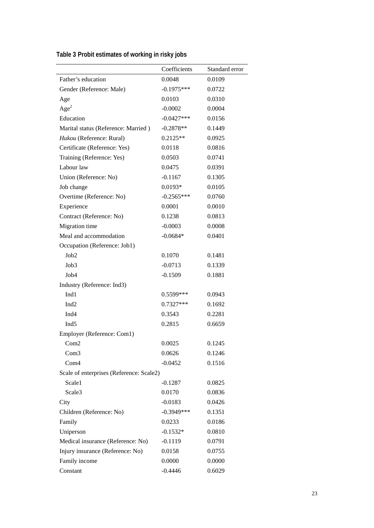|                                          | Coefficients | Standard error |
|------------------------------------------|--------------|----------------|
| Father's education                       | 0.0048       | 0.0109         |
| Gender (Reference: Male)                 | $-0.1975***$ | 0.0722         |
| Age                                      | 0.0103       | 0.0310         |
| Age <sup>2</sup>                         | $-0.0002$    | 0.0004         |
| Education                                | $-0.0427***$ | 0.0156         |
| Marital status (Reference: Married)      | $-0.2878**$  | 0.1449         |
| Hukou (Reference: Rural)                 | $0.2125**$   | 0.0925         |
| Certificate (Reference: Yes)             | 0.0118       | 0.0816         |
| Training (Reference: Yes)                | 0.0503       | 0.0741         |
| Labour law                               | 0.0475       | 0.0391         |
| Union (Reference: No)                    | $-0.1167$    | 0.1305         |
| Job change                               | $0.0193*$    | 0.0105         |
| Overtime (Reference: No)                 | $-0.2565***$ | 0.0760         |
| Experience                               | 0.0001       | 0.0010         |
| Contract (Reference: No)                 | 0.1238       | 0.0813         |
| Migration time                           | $-0.0003$    | 0.0008         |
| Meal and accommodation                   | $-0.0684*$   | 0.0401         |
| Occupation (Reference: Job1)             |              |                |
| Job2                                     | 0.1070       | 0.1481         |
| Job3                                     | $-0.0713$    | 0.1339         |
| Job4                                     | $-0.1509$    | 0.1881         |
| Industry (Reference: Ind3)               |              |                |
| Ind1                                     | 0.5599***    | 0.0943         |
| Ind <sub>2</sub>                         | $0.7327***$  | 0.1692         |
| Ind <sub>4</sub>                         | 0.3543       | 0.2281         |
| Ind <sub>5</sub>                         | 0.2815       | 0.6659         |
| Employer (Reference: Com1)               |              |                |
| Com2                                     | 0.0025       | 0.1245         |
| Com3                                     | 0.0626       | 0.1246         |
| Com <sub>4</sub>                         | $-0.0452$    | 0.1516         |
| Scale of enterprises (Reference: Scale2) |              |                |
| Scale1                                   | $-0.1287$    | 0.0825         |
| Scale3                                   | 0.0170       | 0.0836         |
| City                                     | $-0.0183$    | 0.0426         |
| Children (Reference: No)                 | $-0.3949***$ | 0.1351         |
| Family                                   | 0.0233       | 0.0186         |
|                                          |              |                |
| Uniperson                                | $-0.1532*$   | 0.0810         |
| Medical insurance (Reference: No)        | $-0.1119$    | 0.0791         |
| Injury insurance (Reference: No)         | 0.0158       | 0.0755         |
| Family income                            | 0.0000       | 0.0000         |
| Constant                                 | $-0.4446$    | 0.6029         |

| Table 3 Probit estimates of working in risky jobs |  |
|---------------------------------------------------|--|
|---------------------------------------------------|--|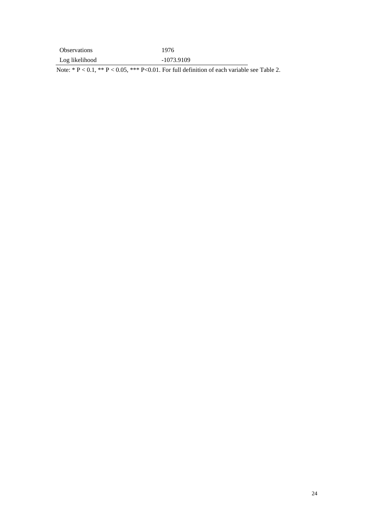| <b>Observations</b> | 1976       |
|---------------------|------------|
| Log likelihood      | -1073.9109 |

Note: \*  $P < 0.1$ , \*\*  $P < 0.05$ , \*\*\*  $P < 0.01$ . For full definition of each variable see Table 2.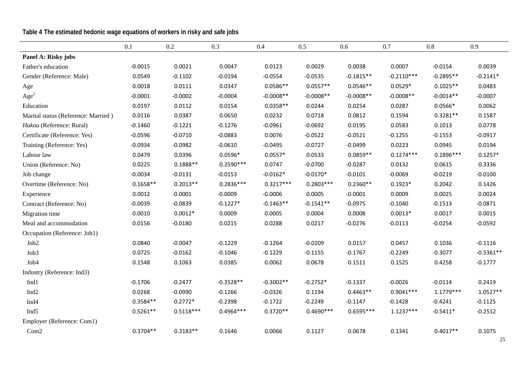**Table 4 The estimated hedonic wage equations of workers in risky and safe jobs**

|                                     | 0.1        | 0.2         | 0.3         | 0.4         | 0.5         | 0.6         | 0.7          | 0.8         | 0.9         |
|-------------------------------------|------------|-------------|-------------|-------------|-------------|-------------|--------------|-------------|-------------|
| Panel A: Risky jobs                 |            |             |             |             |             |             |              |             |             |
| Father's education                  | $-0.0015$  | 0.0021      | 0.0047      | 0.0123      | 0.0029      | 0.0038      | 0.0007       | $-0.0154$   | 0.0039      |
| Gender (Reference: Male)            | 0.0549     | $-0.1102$   | $-0.0194$   | $-0.0554$   | $-0.0535$   | $-0.1815**$ | $-0.2110***$ | $-0.2895**$ | $-0.2141*$  |
| Age                                 | 0.0018     | 0.0111      | 0.0347      | $0.0586**$  | $0.0557**$  | $0.0546**$  | $0.0529*$    | $0.1025**$  | 0.0483      |
| Age <sup>2</sup>                    | $-0.0001$  | $-0.0002$   | $-0.0004$   | $-0.0008**$ | $-0.0008**$ | $-0.0008**$ | $-0.0008**$  | $-0.0014**$ | $-0.0007$   |
| Education                           | 0.0197     | 0.0112      | 0.0154      | $0.0358**$  | 0.0244      | 0.0254      | 0.0287       | $0.0566*$   | 0.0062      |
| Marital status (Reference: Married) | 0.0116     | 0.0387      | 0.0650      | 0.0232      | 0.0718      | 0.0812      | 0.1594       | $0.3281**$  | 0.1587      |
| Hukou (Reference: Rural)            | $-0.1460$  | $-0.1221$   | $-0.1276$   | $-0.0961$   | $-0.0692$   | 0.0195      | 0.0583       | 0.1013      | 0.0778      |
| Certificate (Reference: Yes)        | $-0.0596$  | $-0.0710$   | $-0.0883$   | 0.0076      | $-0.0522$   | $-0.0521$   | $-0.1255$    | $-0.1553$   | $-0.0917$   |
| Training (Reference: Yes)           | $-0.0934$  | $-0.0982$   | $-0.0610$   | $-0.0495$   | $-0.0727$   | $-0.0499$   | 0.0223       | 0.0945      | 0.0194      |
| Labour law                          | 0.0479     | 0.0396      | $0.0596*$   | $0.0557*$   | 0.0533      | $0.0859**$  | $0.1274***$  | $0.1896***$ | $0.1257*$   |
| Union (Reference: No)               | 0.0225     | $0.1888**$  | $0.2590***$ | 0.0747      | $-0.0700$   | $-0.0287$   | 0.0132       | 0.0615      | 0.3336      |
| Job change                          | $-0.0034$  | $-0.0131$   | $-0.0153$   | $-0.0162*$  | $-0.0170*$  | $-0.0101$   | $-0.0069$    | $-0.0219$   | $-0.0100$   |
| Overtime (Reference: No)            | $0.1658**$ | $0.2013**$  | $0.2836***$ | $0.3217***$ | $0.2803***$ | $0.2360**$  | $0.1923*$    | 0.2042      | 0.1426      |
| Experience                          | 0.0012     | $-0.0001$   | $-0.0009$   | $-0.0006$   | 0.0005      | $-0.0001$   | 0.0009       | 0.0025      | 0.0024      |
| Contract (Reference: No)            | $-0.0039$  | $-0.0839$   | $-0.1227*$  | $-0.1463**$ | $-0.1541**$ | $-0.0975$   | $-0.1040$    | $-0.1513$   | $-0.0871$   |
| Migration time                      | 0.0010     | $0.0012*$   | 0.0009      | 0.0005      | 0.0004      | 0.0008      | $0.0013*$    | 0.0017      | 0.0015      |
| Meal and accommodation              | 0.0156     | $-0.0180$   | 0.0215      | 0.0288      | 0.0217      | $-0.0276$   | $-0.0113$    | $-0.0254$   | $-0.0592$   |
| Occupation (Reference: Job1)        |            |             |             |             |             |             |              |             |             |
| Job2                                | 0.0840     | $-0.0047$   | $-0.1229$   | $-0.1264$   | $-0.0209$   | 0.0157      | 0.0457       | 0.1036      | $-0.1116$   |
| Job3                                | 0.0725     | $-0.0162$   | $-0.1046$   | $-0.1229$   | $-0.1155$   | $-0.1767$   | $-0.2249$    | $-0.3077$   | $-0.5361**$ |
| Job <sub>4</sub>                    | 0.1548     | 0.1063      | 0.0385      | 0.0062      | 0.0678      | 0.1511      | 0.1525       | 0.4258      | $-0.1777$   |
| Industry (Reference: Ind3)          |            |             |             |             |             |             |              |             |             |
| Ind1                                | $-0.1706$  | $-0.2477$   | $-0.3528**$ | $-0.3002**$ | $-0.2752*$  | $-0.1337$   | $-0.0026$    | $-0.0114$   | 0.2419      |
| Ind <sub>2</sub>                    | 0.0268     | $-0.0990$   | $-0.1266$   | $-0.0326$   | 0.1194      | $0.4463**$  | $0.9041***$  | $1.1779***$ | $1.0527**$  |
| Ind <sub>4</sub>                    | $0.3584**$ | $0.2772*$   | $-0.2398$   | $-0.1722$   | $-0.2249$   | $-0.1147$   | $-0.1428$    | $-0.4241$   | $-0.1125$   |
| Ind <sub>5</sub>                    | $0.5261**$ | $0.5118***$ | $0.4964***$ | $0.3720**$  | $0.4690***$ | $0.6595***$ | $1.1237***$  | $-0.5411*$  | $-0.2512$   |
| Employer (Reference: Com1)          |            |             |             |             |             |             |              |             |             |
| Com <sub>2</sub>                    | $0.3704**$ | $0.3183**$  | 0.1646      | 0.0066      | 0.1127      | 0.0678      | 0.1341       | $0.4017**$  | 0.1075      |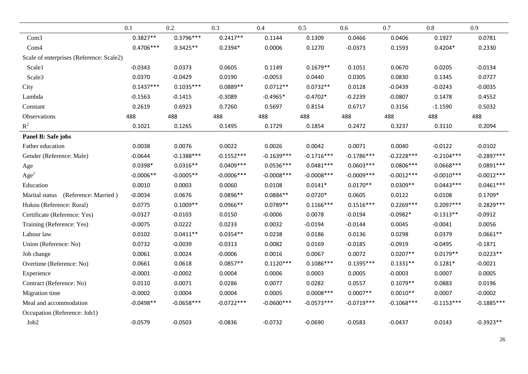|                                          | 0.1         | 0.2          | 0.3          | 0.4           | 0.5           | 0.6          | 0.7           | 0.8          | 0.9          |
|------------------------------------------|-------------|--------------|--------------|---------------|---------------|--------------|---------------|--------------|--------------|
| Com <sub>3</sub>                         | $0.3827**$  | $0.3796***$  | $0.2417**$   | 0.1144        | 0.1309        | 0.0466       | 0.0406        | 0.1927       | 0.0781       |
| Com <sub>4</sub>                         | $0.4706***$ | $0.3425**$   | $0.2394*$    | 0.0006        | 0.1270        | $-0.0373$    | 0.1593        | $0.4204*$    | 0.2330       |
| Scale of enterprises (Reference: Scale2) |             |              |              |               |               |              |               |              |              |
| Scale1                                   | $-0.0343$   | 0.0373       | 0.0605       | 0.1149        | $0.1679**$    | 0.1051       | 0.0670        | 0.0205       | $-0.0134$    |
| Scale3                                   | 0.0370      | $-0.0429$    | 0.0190       | $-0.0053$     | 0.0440        | 0.0305       | 0.0830        | 0.1345       | 0.0727       |
| City                                     | $0.1437***$ | $0.1035***$  | $0.0889**$   | $0.0712**$    | $0.0732**$    | 0.0128       | $-0.0439$     | $-0.0243$    | $-0.0035$    |
| Lambda                                   | $-0.1563$   | $-0.1415$    | $-0.3089$    | $-0.4965*$    | $-0.4702*$    | $-0.2239$    | $-0.0807$     | 0.1478       | 0.4552       |
| Constant                                 | 0.2619      | 0.6923       | 0.7260       | 0.5697        | 0.8154        | 0.6717       | 0.3156        | $-1.1590$    | 0.5032       |
| Observations                             | 488         | 488          | 488          | 488           | 488           | 488          | 488           | 488          | 488          |
| $R^2$                                    | 0.1021      | 0.1265       | 0.1495       | 0.1729        | 0.1854        | 0.2472       | 0.3237        | 0.3110       | 0.2094       |
| Panel B: Safe jobs                       |             |              |              |               |               |              |               |              |              |
| Father education                         | 0.0038      | 0.0076       | 0.0022       | 0.0026        | 0.0042        | 0.0071       | 0.0040        | $-0.0122$    | $-0.0102$    |
| Gender (Reference: Male)                 | $-0.0644$   | $-0.1388***$ | $-0.1552***$ | $-0.1639***$  | $-0.1716***$  | $-0.1786***$ | $-0.2228***$  | $-0.2104***$ | $-0.2897***$ |
| Age                                      | $0.0398*$   | $0.0316**$   | $0.0409***$  | $0.0536***$   | $0.0481***$   | $0.0603***$  | $0.0806***$   | $0.0668***$  | $0.0891***$  |
| Age <sup>2</sup>                         | $-0.0006**$ | $-0.0005**$  | $-0.0006***$ | $-0.0008$ *** | $-0.0008$ *** | $-0.0009***$ | $-0.0012***$  | $-0.0010***$ | $-0.0012***$ |
| Education                                | 0.0010      | 0.0003       | 0.0060       | 0.0108        | $0.0141*$     | $0.0170**$   | $0.0309**$    | $0.0443***$  | $0.0461***$  |
| Marital status (Reference: Married)      | $-0.0034$   | 0.0676       | $0.0896**$   | $0.0884**$    | $0.0720*$     | 0.0605       | 0.0122        | 0.0108       | $0.1709*$    |
| Hukou (Reference: Rural)                 | 0.0775      | $0.1009**$   | $0.0966**$   | $0.0789**$    | $0.1166***$   | $0.1516***$  | $0.2269***$   | $0.2097***$  | $0.2829***$  |
| Certificate (Reference: Yes)             | $-0.0327$   | $-0.0103$    | 0.0150       | $-0.0006$     | 0.0078        | $-0.0194$    | $-0.0982*$    | $-0.1313**$  | $-0.0912$    |
| Training (Reference: Yes)                | $-0.0075$   | 0.0222       | 0.0233       | 0.0032        | $-0.0194$     | $-0.0144$    | 0.0045        | $-0.0041$    | 0.0056       |
| Labour law                               | 0.0102      | $0.0411**$   | $0.0354**$   | 0.0238        | 0.0186        | 0.0136       | 0.0298        | 0.0379       | $0.0661**$   |
| Union (Reference: No)                    | 0.0732      | $-0.0039$    | $-0.0313$    | 0.0082        | 0.0169        | $-0.0185$    | $-0.0919$     | $-0.0495$    | $-0.1871$    |
| Job change                               | 0.0061      | 0.0024       | $-0.0006$    | 0.0016        | 0.0067        | 0.0072       | $0.0207**$    | $0.0179**$   | $0.0223**$   |
| Overtime (Reference: No)                 | 0.0661      | 0.0618       | $0.0857**$   | $0.1120***$   | $0.1086***$   | $0.1395***$  | $0.1331**$    | $0.1281*$    | $-0.0021$    |
| Experience                               | $-0.0001$   | $-0.0002$    | 0.0004       | 0.0006        | 0.0003        | 0.0005       | $-0.0003$     | 0.0007       | 0.0005       |
| Contract (Reference: No)                 | 0.0110      | 0.0071       | 0.0286       | 0.0077        | 0.0282        | 0.0557       | $0.1079**$    | 0.0883       | 0.0196       |
| Migration time                           | $-0.0002$   | 0.0004       | 0.0004       | 0.0005        | $0.0008***$   | $0.0007**$   | $0.0010**$    | 0.0007       | $-0.0002$    |
| Meal and accommodation                   | $-0.0498**$ | $-0.0658***$ | $-0.0722***$ | $-0.0600$ *** | $-0.0573***$  | $-0.0719***$ | $-0.1068$ *** | $-0.1153***$ | $-0.1885***$ |
| Occupation (Reference: Job1)             |             |              |              |               |               |              |               |              |              |
| Job2                                     | $-0.0579$   | $-0.0503$    | $-0.0836$    | $-0.0732$     | $-0.0690$     | $-0.0583$    | $-0.0437$     | 0.0143       | $-0.3923**$  |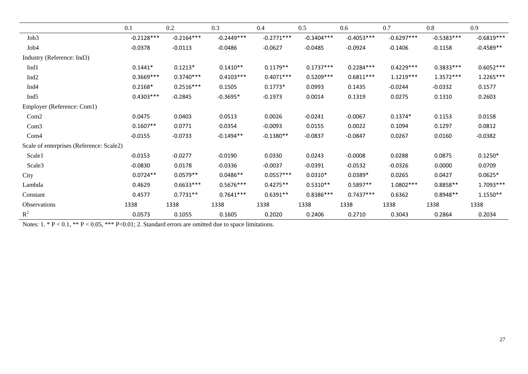|                                          | 0.1          | 0.2          | 0.3          | 0.4          | 0.5          | 0.6          | 0.7          | 0.8          | 0.9          |
|------------------------------------------|--------------|--------------|--------------|--------------|--------------|--------------|--------------|--------------|--------------|
| Job3                                     | $-0.2128***$ | $-0.2164***$ | $-0.2449***$ | $-0.2771***$ | $-0.3404***$ | $-0.4053***$ | $-0.6297***$ | $-0.5383***$ | $-0.6819***$ |
| Job4                                     | $-0.0378$    | $-0.0113$    | $-0.0486$    | $-0.0627$    | $-0.0485$    | $-0.0924$    | $-0.1406$    | $-0.1158$    | $-0.4589**$  |
| Industry (Reference: Ind3)               |              |              |              |              |              |              |              |              |              |
| Ind1                                     | $0.1441*$    | $0.1213*$    | $0.1410**$   | $0.1179**$   | $0.1737***$  | $0.2284***$  | $0.4229***$  | $0.3833***$  | $0.6052***$  |
| Ind <sub>2</sub>                         | $0.3669***$  | $0.3740***$  | $0.4103***$  | $0.4071***$  | $0.5209***$  | $0.6811***$  | $1.1219***$  | $1.3572***$  | 1.2265***    |
| Ind <sub>4</sub>                         | $0.2168*$    | $0.2516***$  | 0.1505       | $0.1773*$    | 0.0993       | 0.1435       | $-0.0244$    | $-0.0332$    | 0.1577       |
| Ind <sub>5</sub>                         | $0.4303***$  | $-0.2845$    | $-0.3695*$   | $-0.1973$    | 0.0014       | 0.1319       | 0.0275       | 0.1310       | 0.2603       |
| Employer (Reference: Com1)               |              |              |              |              |              |              |              |              |              |
| Com <sub>2</sub>                         | 0.0475       | 0.0403       | 0.0513       | 0.0026       | $-0.0241$    | $-0.0067$    | $0.1374*$    | 0.1153       | 0.0158       |
| Com <sub>3</sub>                         | $0.1607**$   | 0.0771       | 0.0354       | $-0.0093$    | 0.0155       | 0.0022       | 0.1094       | 0.1297       | 0.0812       |
| Com <sub>4</sub>                         | $-0.0155$    | $-0.0733$    | $-0.1494**$  | $-0.1380**$  | $-0.0837$    | $-0.0847$    | 0.0267       | 0.0160       | $-0.0382$    |
| Scale of enterprises (Reference: Scale2) |              |              |              |              |              |              |              |              |              |
| Scale1                                   | $-0.0153$    | $-0.0277$    | $-0.0190$    | 0.0330       | 0.0243       | $-0.0008$    | 0.0288       | 0.0875       | $0.1250*$    |
| Scale3                                   | $-0.0830$    | 0.0178       | $-0.0336$    | $-0.0037$    | $-0.0391$    | $-0.0532$    | $-0.0326$    | 0.0000       | 0.0709       |
| City                                     | $0.0724**$   | $0.0579**$   | $0.0486**$   | $0.0557***$  | $0.0310*$    | $0.0389*$    | 0.0265       | 0.0427       | $0.0625*$    |
| Lambda                                   | 0.4629       | $0.6633***$  | $0.5676***$  | $0.4275**$   | $0.5310**$   | $0.5897**$   | 1.0802 ***   | $0.8858**$   | 1.7093 ***   |
| Constant                                 | 0.4577       | $0.7731**$   | $0.7641***$  | $0.6391**$   | $0.8386***$  | $0.7437***$  | 0.6362       | $0.8948**$   | $1.1550**$   |
| Observations                             | 1338         | 1338         | 1338         | 1338         | 1338         | 1338         | 1338         | 1338         | 1338         |
| $R^2$                                    | 0.0573       | 0.1055       | 0.1605       | 0.2020       | 0.2406       | 0.2710       | 0.3043       | 0.2864       | 0.2034       |

Notes:  $1. * P < 0.1, ** P < 0.05, ** P < 0.01; 2$ . Standard errors are omitted due to space limitations.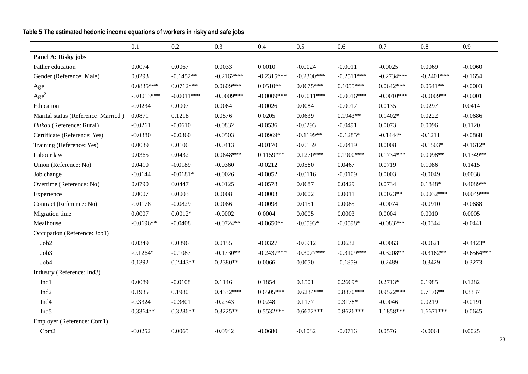**Table 5 The estimated hedonic income equations of workers in risky and safe jobs**

|                                     | 0.1          | 0.2          | 0.3           | 0.4           | 0.5          | 0.6          | 0.7          | 0.8          | 0.9          |
|-------------------------------------|--------------|--------------|---------------|---------------|--------------|--------------|--------------|--------------|--------------|
| Panel A: Risky jobs                 |              |              |               |               |              |              |              |              |              |
| Father education                    | 0.0074       | 0.0067       | 0.0033        | 0.0010        | $-0.0024$    | $-0.0011$    | $-0.0025$    | 0.0069       | $-0.0060$    |
| Gender (Reference: Male)            | 0.0293       | $-0.1452**$  | $-0.2162***$  | $-0.2315***$  | $-0.2300***$ | $-0.2511***$ | $-0.2734***$ | $-0.2401***$ | $-0.1654$    |
| Age                                 | $0.0835***$  | $0.0712***$  | $0.0609***$   | $0.0510**$    | $0.0675***$  | $0.1055***$  | $0.0642***$  | $0.0541**$   | $-0.0003$    |
| Age <sup>2</sup>                    | $-0.0013***$ | $-0.0011***$ | $-0.0009$ *** | $-0.0009$ *** | $-0.0011***$ | $-0.0016***$ | $-0.0010***$ | $-0.0009**$  | $-0.0001$    |
| Education                           | $-0.0234$    | 0.0007       | 0.0064        | $-0.0026$     | 0.0084       | $-0.0017$    | 0.0135       | 0.0297       | 0.0414       |
| Marital status (Reference: Married) | 0.0871       | 0.1218       | 0.0576        | 0.0205        | 0.0639       | $0.1943**$   | $0.1402*$    | 0.0222       | $-0.0686$    |
| Hukou (Reference: Rural)            | $-0.0261$    | $-0.0610$    | $-0.0832$     | $-0.0536$     | $-0.0293$    | $-0.0491$    | 0.0073       | 0.0096       | 0.1120       |
| Certificate (Reference: Yes)        | $-0.0380$    | $-0.0360$    | $-0.0503$     | $-0.0969*$    | $-0.1199**$  | $-0.1285*$   | $-0.1444*$   | $-0.1211$    | $-0.0868$    |
| Training (Reference: Yes)           | 0.0039       | 0.0106       | $-0.0413$     | $-0.0170$     | $-0.0159$    | $-0.0419$    | 0.0008       | $-0.1503*$   | $-0.1612*$   |
| Labour law                          | 0.0365       | 0.0432       | $0.0848***$   | $0.1159***$   | $0.1270***$  | $0.1900***$  | $0.1734***$  | 0.0998**     | $0.1349**$   |
| Union (Reference: No)               | 0.0410       | $-0.0189$    | $-0.0360$     | $-0.0212$     | 0.0580       | 0.0467       | 0.0719       | 0.1086       | 0.1415       |
| Job change                          | $-0.0144$    | $-0.0181*$   | $-0.0026$     | $-0.0052$     | $-0.0116$    | $-0.0109$    | 0.0003       | $-0.0049$    | 0.0038       |
| Overtime (Reference: No)            | 0.0790       | 0.0447       | $-0.0125$     | $-0.0578$     | 0.0687       | 0.0429       | 0.0734       | $0.1848*$    | $0.4089**$   |
| Experience                          | 0.0007       | 0.0003       | 0.0008        | $-0.0003$     | 0.0002       | 0.0011       | $0.0023**$   | $0.0032***$  | $0.0049***$  |
| Contract (Reference: No)            | $-0.0178$    | $-0.0829$    | 0.0086        | $-0.0098$     | 0.0151       | 0.0085       | $-0.0074$    | $-0.0910$    | $-0.0688$    |
| Migration time                      | 0.0007       | $0.0012*$    | $-0.0002$     | 0.0004        | 0.0005       | 0.0003       | 0.0004       | 0.0010       | 0.0005       |
| Mealhouse                           | $-0.0696**$  | $-0.0408$    | $-0.0724**$   | $-0.0650**$   | $-0.0593*$   | $-0.0598*$   | $-0.0832**$  | $-0.0344$    | $-0.0441$    |
| Occupation (Reference: Job1)        |              |              |               |               |              |              |              |              |              |
| Job2                                | 0.0349       | 0.0396       | 0.0155        | $-0.0327$     | $-0.0912$    | 0.0632       | $-0.0063$    | $-0.0621$    | $-0.4423*$   |
| Job3                                | $-0.1264*$   | $-0.1087$    | $-0.1730**$   | $-0.2437***$  | $-0.3077***$ | $-0.3109***$ | $-0.3208**$  | $-0.3162**$  | $-0.6564***$ |
| Job <sub>4</sub>                    | 0.1392       | $0.2443**$   | $0.2380**$    | 0.0066        | 0.0050       | $-0.1859$    | $-0.2489$    | $-0.3429$    | $-0.3273$    |
| Industry (Reference: Ind3)          |              |              |               |               |              |              |              |              |              |
| Ind1                                | 0.0089       | $-0.0108$    | 0.1146        | 0.1854        | 0.1501       | $0.2669*$    | $0.2713*$    | 0.1985       | 0.1282       |
| Ind <sub>2</sub>                    | 0.1935       | 0.1980       | $0.4332***$   | $0.6505***$   | $0.6234***$  | $0.8870***$  | $0.9522***$  | $0.7176**$   | 0.3337       |
| Ind <sub>4</sub>                    | $-0.3324$    | $-0.3801$    | $-0.2343$     | 0.0248        | 0.1177       | 0.3178*      | $-0.0046$    | 0.0219       | $-0.0191$    |
| Ind <sub>5</sub>                    | $0.3364**$   | $0.3286**$   | $0.3225**$    | $0.5532***$   | $0.6672***$  | $0.8626***$  | 1.1858***    | $1.6671***$  | $-0.0645$    |
| Employer (Reference: Com1)          |              |              |               |               |              |              |              |              |              |
| Com <sub>2</sub>                    | $-0.0252$    | 0.0065       | $-0.0942$     | $-0.0680$     | $-0.1082$    | $-0.0716$    | 0.0576       | $-0.0061$    | 0.0025       |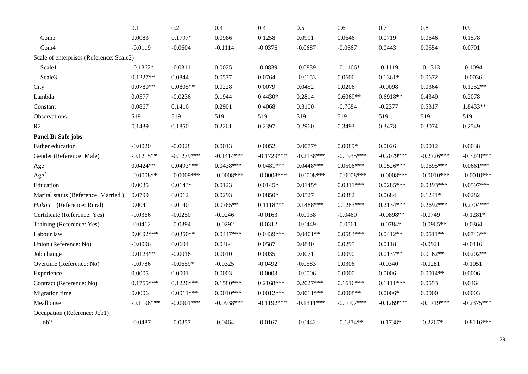|                                          | 0.1          | 0.2          | 0.3           | 0.4           | 0.5           | 0.6           | 0.7           | $0.8\,$      | 0.9          |  |
|------------------------------------------|--------------|--------------|---------------|---------------|---------------|---------------|---------------|--------------|--------------|--|
| Com <sub>3</sub>                         | 0.0083       | $0.1797*$    | 0.0986        | 0.1258        | 0.0991        | 0.0646        | 0.0719        | 0.0646       | 0.1578       |  |
| Com4                                     | $-0.0119$    | $-0.0604$    | $-0.1114$     | $-0.0376$     | $-0.0687$     | $-0.0667$     | 0.0443        | 0.0554       | 0.0701       |  |
| Scale of enterprises (Reference: Scale2) |              |              |               |               |               |               |               |              |              |  |
| Scale1                                   | $-0.1362*$   | $-0.0311$    | 0.0025        | $-0.0839$     | $-0.0839$     | $-0.1166*$    | $-0.1119$     | $-0.1313$    | $-0.1094$    |  |
| Scale3                                   | $0.1227**$   | 0.0844       | 0.0577        | 0.0764        | $-0.0153$     | 0.0606        | $0.1361*$     | 0.0672       | $-0.0036$    |  |
| City                                     | $0.0780**$   | $0.0805**$   | 0.0228        | 0.0079        | 0.0452        | 0.0206        | $-0.0098$     | 0.0364       | $0.1252**$   |  |
| Lambda                                   | 0.0577       | $-0.0236$    | 0.1944        | $0.4430*$     | 0.2814        | $0.6069**$    | $0.6918**$    | 0.4349       | 0.2078       |  |
| Constant                                 | 0.0867       | 0.1416       | 0.2901        | 0.4068        | 0.3100        | $-0.7684$     | $-0.2377$     | 0.5317       | 1.8433**     |  |
| Observations                             | 519          | 519          | 519           | 519           | 519           | 519           | 519           | 519          | 519          |  |
| R2                                       | 0.1439       | 0.1850       | 0.2261        | 0.2397        | 0.2960        | 0.3493        | 0.3478        | 0.3074       | 0.2549       |  |
| Panel B: Safe jobs                       |              |              |               |               |               |               |               |              |              |  |
| Father education                         | $-0.0020$    | $-0.0028$    | 0.0013        | 0.0052        | $0.0077*$     | $0.0089*$     | 0.0026        | 0.0012       | 0.0038       |  |
| Gender (Reference: Male)                 | $-0.1215**$  | $-0.1279***$ | $-0.1414***$  | $-0.1729***$  | $-0.2138***$  | $-0.1935***$  | $-0.2079***$  | $-0.2726***$ | $-0.3240***$ |  |
| Age                                      | $0.0424**$   | $0.0493***$  | $0.0438***$   | $0.0481***$   | $0.0448***$   | $0.0506***$   | $0.0526***$   | $0.0695***$  | $0.0661***$  |  |
| Age <sup>2</sup>                         | $-0.0008**$  | $-0.0009***$ | $-0.0008$ *** | $-0.0008$ *** | $-0.0008$ *** | $-0.0008$ *** | $-0.0008$ *** | $-0.0010***$ | $-0.0010***$ |  |
| Education                                | 0.0035       | $0.0143*$    | 0.0123        | $0.0145*$     | $0.0145*$     | $0.0311***$   | $0.0285***$   | $0.0393***$  | $0.0597***$  |  |
| Marital status (Reference: Married)      | 0.0799       | 0.0012       | 0.0293        | $0.0850*$     | 0.0527        | 0.0382        | 0.0684        | $0.1241*$    | 0.0282       |  |
| Hukou (Reference: Rural)                 | 0.0041       | 0.0140       | $0.0785**$    | $0.1118***$   | $0.1488***$   | $0.1283***$   | $0.2134***$   | $0.2692***$  | $0.2704***$  |  |
| Certificate (Reference: Yes)             | $-0.0366$    | $-0.0250$    | $-0.0246$     | $-0.0163$     | $-0.0138$     | $-0.0460$     | $-0.0898**$   | $-0.0749$    | $-0.1281*$   |  |
| Training (Reference: Yes)                | $-0.0412$    | $-0.0394$    | $-0.0292$     | $-0.0312$     | $-0.0449$     | $-0.0561$     | $-0.0784*$    | $-0.0965**$  | $-0.0364$    |  |
| Labour law                               | $0.0692***$  | $0.0350**$   | $0.0447***$   | $0.0439***$   | $0.0401**$    | $0.0583***$   | $0.0412**$    | $0.0511**$   | $0.0743**$   |  |
| Union (Reference: No)                    | $-0.0096$    | 0.0604       | 0.0464        | 0.0587        | 0.0840        | 0.0295        | 0.0118        | $-0.0921$    | $-0.0416$    |  |
| Job change                               | $0.0123**$   | $-0.0016$    | 0.0010        | 0.0035        | 0.0071        | 0.0090        | $0.0137**$    | $0.0162**$   | $0.0202**$   |  |
| Overtime (Reference: No)                 | $-0.0786$    | $-0.0659*$   | $-0.0325$     | $-0.0492$     | $-0.0583$     | 0.0306        | $-0.0340$     | $-0.0281$    | $-0.1051$    |  |
| Experience                               | 0.0005       | 0.0001       | 0.0003        | $-0.0003$     | $-0.0006$     | 0.0000        | 0.0006        | $0.0014**$   | 0.0006       |  |
| Contract (Reference: No)                 | $0.1755***$  | $0.1220***$  | $0.1580***$   | $0.2168***$   | $0.2027***$   | $0.1616***$   | $0.1111***$   | 0.0553       | 0.0464       |  |
| Migration time                           | 0.0006       | $0.0011***$  | $0.0010***$   | $0.0012***$   | $0.0011***$   | $0.0008**$    | $0.0006*$     | 0.0000       | 0.0003       |  |
| Mealhouse                                | $-0.1198***$ | $-0.0901***$ | $-0.0938***$  | $-0.1192***$  | $-0.1311***$  | $-0.1097***$  | $-0.1269***$  | $-0.1719***$ | $-0.2375***$ |  |
| Occupation (Reference: Job1)             |              |              |               |               |               |               |               |              |              |  |
| Job2                                     | $-0.0487$    | $-0.0357$    | $-0.0464$     | $-0.0167$     | $-0.0442$     | $-0.1374**$   | $-0.1738*$    | $-0.2267*$   | $-0.8116***$ |  |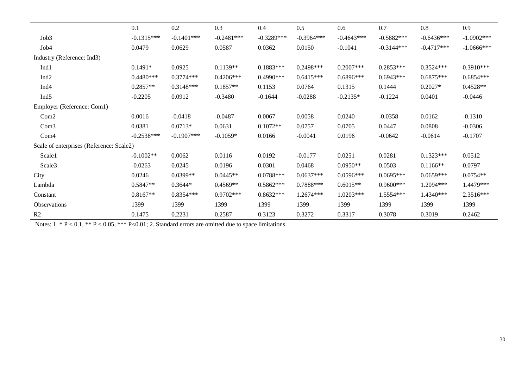|                                          | 0.1          | 0.2          | 0.3          | 0.4          | 0.5          | 0.6          | 0.7          | 0.8          | 0.9           |
|------------------------------------------|--------------|--------------|--------------|--------------|--------------|--------------|--------------|--------------|---------------|
| Job3                                     | $-0.1315***$ | $-0.1401***$ | $-0.2481***$ | $-0.3289***$ | $-0.3964***$ | $-0.4643***$ | $-0.5882***$ | $-0.6436***$ | $-1.0902***$  |
| Job4                                     | 0.0479       | 0.0629       | 0.0587       | 0.0362       | 0.0150       | $-0.1041$    | $-0.3144***$ | $-0.4717***$ | $-1.0666$ *** |
| Industry (Reference: Ind3)               |              |              |              |              |              |              |              |              |               |
| Ind1                                     | $0.1491*$    | 0.0925       | $0.1139**$   | $0.1883***$  | 0.2498***    | $0.2007$ *** | $0.2853***$  | $0.3524***$  | $0.3910***$   |
| Ind <sub>2</sub>                         | $0.4480***$  | $0.3774***$  | $0.4206***$  | $0.4990***$  | $0.6415***$  | $0.6896***$  | $0.6943***$  | $0.6875***$  | $0.6854***$   |
| Ind <sub>4</sub>                         | $0.2857**$   | $0.3148***$  | $0.1857**$   | 0.1153       | 0.0764       | 0.1315       | 0.1444       | $0.2027*$    | $0.4528**$    |
| Ind <sub>5</sub>                         | $-0.2205$    | 0.0912       | $-0.3480$    | $-0.1644$    | $-0.0288$    | $-0.2135*$   | $-0.1224$    | 0.0401       | $-0.0446$     |
| Employer (Reference: Com1)               |              |              |              |              |              |              |              |              |               |
| Com <sub>2</sub>                         | 0.0016       | $-0.0418$    | $-0.0487$    | 0.0067       | 0.0058       | 0.0240       | $-0.0358$    | 0.0162       | $-0.1310$     |
| Com <sub>3</sub>                         | 0.0381       | $0.0713*$    | 0.0631       | $0.1072**$   | 0.0757       | 0.0705       | 0.0447       | 0.0808       | $-0.0306$     |
| Com <sub>4</sub>                         | $-0.2538***$ | $-0.1907***$ | $-0.1059*$   | 0.0166       | $-0.0041$    | 0.0196       | $-0.0642$    | $-0.0614$    | $-0.1707$     |
| Scale of enterprises (Reference: Scale2) |              |              |              |              |              |              |              |              |               |
| Scale1                                   | $-0.1002**$  | 0.0062       | 0.0116       | 0.0192       | $-0.0177$    | 0.0251       | 0.0281       | $0.1323***$  | 0.0512        |
| Scale3                                   | $-0.0263$    | 0.0245       | 0.0196       | 0.0301       | 0.0468       | $0.0950**$   | 0.0503       | $0.1166**$   | 0.0797        |
| City                                     | 0.0246       | $0.0399**$   | $0.0445**$   | $0.0788***$  | $0.0637***$  | $0.0596***$  | $0.0695***$  | $0.0659***$  | $0.0754**$    |
| Lambda                                   | $0.5847**$   | $0.3644*$    | $0.4569**$   | $0.5862***$  | 0.7888***    | $0.6015**$   | $0.9600$ *** | 1.2094***    | 1.4479***     |
| Constant                                 | $0.8167**$   | $0.8354***$  | $0.9702***$  | $0.8632***$  | 1.2674***    | $1.0203***$  | 1.5554***    | 1.4340***    | 2.3516***     |
| Observations                             | 1399         | 1399         | 1399         | 1399         | 1399         | 1399         | 1399         | 1399         | 1399          |
| R <sub>2</sub>                           | 0.1475       | 0.2231       | 0.2587       | 0.3123       | 0.3272       | 0.3317       | 0.3078       | 0.3019       | 0.2462        |

Notes:  $1. * P < 0.1, ** P < 0.05, ** P < 0.01; 2$ . Standard errors are omitted due to space limitations.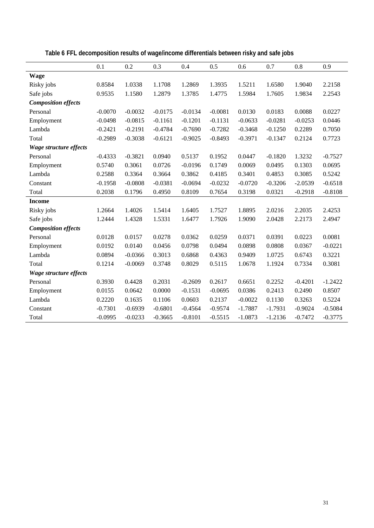|                            | 0.1       | 0.2       | 0.3       | 0.4       | 0.5       | 0.6       | 0.7       | 0.8       | 0.9       |
|----------------------------|-----------|-----------|-----------|-----------|-----------|-----------|-----------|-----------|-----------|
| <b>Wage</b>                |           |           |           |           |           |           |           |           |           |
| Risky jobs                 | 0.8584    | 1.0338    | 1.1708    | 1.2869    | 1.3935    | 1.5211    | 1.6580    | 1.9040    | 2.2158    |
| Safe jobs                  | 0.9535    | 1.1580    | 1.2879    | 1.3785    | 1.4775    | 1.5984    | 1.7605    | 1.9834    | 2.2543    |
| <b>Composition effects</b> |           |           |           |           |           |           |           |           |           |
| Personal                   | $-0.0070$ | $-0.0032$ | $-0.0175$ | $-0.0134$ | $-0.0081$ | 0.0130    | 0.0183    | 0.0088    | 0.0227    |
| Employment                 | $-0.0498$ | $-0.0815$ | $-0.1161$ | $-0.1201$ | $-0.1131$ | $-0.0633$ | $-0.0281$ | $-0.0253$ | 0.0446    |
| Lambda                     | $-0.2421$ | $-0.2191$ | $-0.4784$ | $-0.7690$ | $-0.7282$ | $-0.3468$ | $-0.1250$ | 0.2289    | 0.7050    |
| Total                      | $-0.2989$ | $-0.3038$ | $-0.6121$ | $-0.9025$ | $-0.8493$ | $-0.3971$ | $-0.1347$ | 0.2124    | 0.7723    |
| Wage structure effects     |           |           |           |           |           |           |           |           |           |
| Personal                   | $-0.4333$ | $-0.3821$ | 0.0940    | 0.5137    | 0.1952    | 0.0447    | $-0.1820$ | 1.3232    | $-0.7527$ |
| Employment                 | 0.5740    | 0.3061    | 0.0726    | $-0.0196$ | 0.1749    | 0.0069    | 0.0495    | 0.1303    | 0.0695    |
| Lambda                     | 0.2588    | 0.3364    | 0.3664    | 0.3862    | 0.4185    | 0.3401    | 0.4853    | 0.3085    | 0.5242    |
| Constant                   | $-0.1958$ | $-0.0808$ | $-0.0381$ | $-0.0694$ | $-0.0232$ | $-0.0720$ | $-0.3206$ | $-2.0539$ | $-0.6518$ |
| Total                      | 0.2038    | 0.1796    | 0.4950    | 0.8109    | 0.7654    | 0.3198    | 0.0321    | $-0.2918$ | $-0.8108$ |
| <b>Income</b>              |           |           |           |           |           |           |           |           |           |
| Risky jobs                 | 1.2664    | 1.4026    | 1.5414    | 1.6405    | 1.7527    | 1.8895    | 2.0216    | 2.2035    | 2.4253    |
| Safe jobs                  | 1.2444    | 1.4328    | 1.5331    | 1.6477    | 1.7926    | 1.9090    | 2.0428    | 2.2173    | 2.4947    |
| <b>Composition effects</b> |           |           |           |           |           |           |           |           |           |
| Personal                   | 0.0128    | 0.0157    | 0.0278    | 0.0362    | 0.0259    | 0.0371    | 0.0391    | 0.0223    | 0.0081    |
| Employment                 | 0.0192    | 0.0140    | 0.0456    | 0.0798    | 0.0494    | 0.0898    | 0.0808    | 0.0367    | $-0.0221$ |
| Lambda                     | 0.0894    | $-0.0366$ | 0.3013    | 0.6868    | 0.4363    | 0.9409    | 1.0725    | 0.6743    | 0.3221    |
| Total                      | 0.1214    | $-0.0069$ | 0.3748    | 0.8029    | 0.5115    | 1.0678    | 1.1924    | 0.7334    | 0.3081    |
| Wage structure effects     |           |           |           |           |           |           |           |           |           |
| Personal                   | 0.3930    | 0.4428    | 0.2031    | $-0.2609$ | 0.2617    | 0.6651    | 0.2252    | $-0.4201$ | $-1.2422$ |
| Employment                 | 0.0155    | 0.0642    | 0.0000    | $-0.1531$ | $-0.0695$ | 0.0386    | 0.2413    | 0.2490    | 0.8507    |
| Lambda                     | 0.2220    | 0.1635    | 0.1106    | 0.0603    | 0.2137    | $-0.0022$ | 0.1130    | 0.3263    | 0.5224    |
| Constant                   | $-0.7301$ | $-0.6939$ | $-0.6801$ | $-0.4564$ | $-0.9574$ | $-1.7887$ | $-1.7931$ | $-0.9024$ | $-0.5084$ |
| Total                      | $-0.0995$ | $-0.0233$ | $-0.3665$ | $-0.8101$ | $-0.5515$ | $-1.0873$ | $-1.2136$ | $-0.7472$ | $-0.3775$ |

**Table 6 FFL decomposition results of wage/income differentials between risky and safe jobs**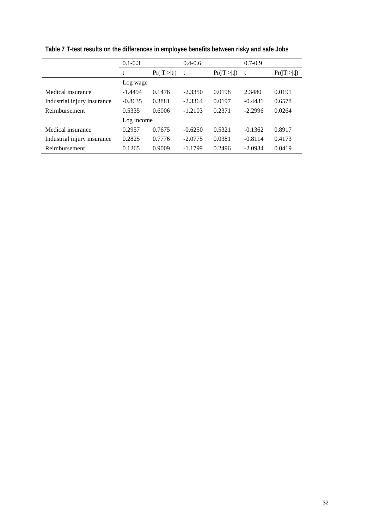|                             | $0.1 - 0.3$ |             | $0.4 - 0.6$ |             | $0.7 - 0.9$ |             |  |  |  |
|-----------------------------|-------------|-------------|-------------|-------------|-------------|-------------|--|--|--|
|                             | t           | Pr( T > t ) | t           | Pr( T > t ) | t           | Pr( T > t ) |  |  |  |
|                             | Log wage    |             |             |             |             |             |  |  |  |
| Medical insurance           | $-1.4494$   | 0.1476      | $-2.3350$   | 0.0198      | 2.3480      | 0.0191      |  |  |  |
| Industrial injury insurance | $-0.8635$   | 0.3881      | $-2.3364$   | 0.0197      | $-0.4431$   | 0.6578      |  |  |  |
| Reimbursement               | 0.5335      | 0.6006      | $-1.2103$   | 0.2371      | $-2.2996$   | 0.0264      |  |  |  |
|                             | Log income  |             |             |             |             |             |  |  |  |
| Medical insurance           | 0.2957      | 0.7675      | $-0.6250$   | 0.5321      | $-0.1362$   | 0.8917      |  |  |  |
| Industrial injury insurance | 0.2825      | 0.7776      | $-2.0775$   | 0.0381      | $-0.8114$   | 0.4173      |  |  |  |
| Reimbursement               | 0.1265      | 0.9009      | $-1.1799$   | 0.2496      | $-2.0934$   | 0.0419      |  |  |  |

**Table 7 T-test results on the differences in employee benefits between risky and safe Jobs**